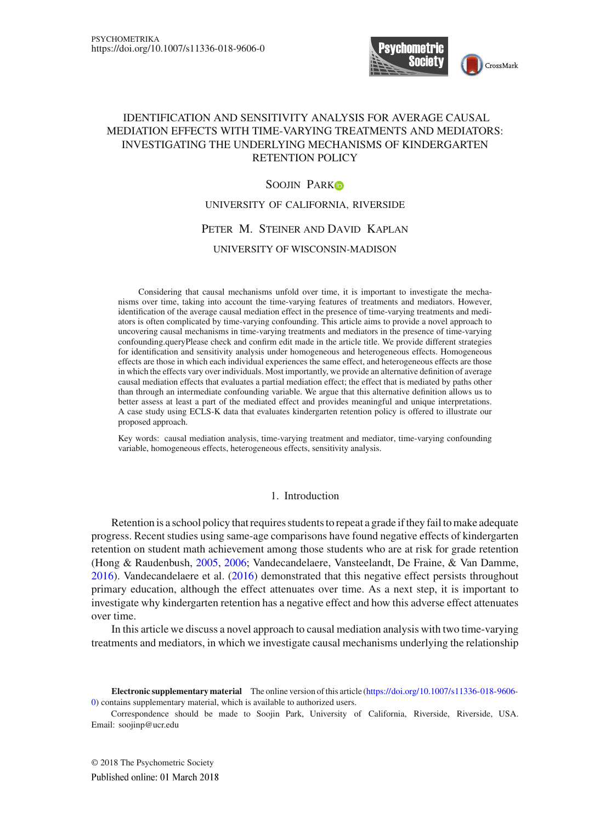

## IDENTIFICATION AND SENSITIVITY ANALYSIS FOR AVERAGE CAUSAL MEDIATION EFFECTS WITH TIME-VARYING TREATMENTS AND MEDIATORS: INVESTIGATING THE UNDERLYING MECHANISMS OF KINDERGARTEN RETENTION POLICY

## SOOJIN PARKO

UNIVERSITY OF CALIFORNIA, RIVERSIDE

## Peter M. Steiner and David Kaplan

### UNIVERSITY OF WISCONSIN-MADISON

Considering that causal mechanisms unfold over time, it is important to investigate the mechanisms over time, taking into account the time-varying features of treatments and mediators. However, identification of the average causal mediation effect in the presence of time-varying treatments and mediators is often complicated by time-varying confounding. This article aims to provide a novel approach to uncovering causal mechanisms in time-varying treatments and mediators in the presence of time-varying confounding.queryPlease check and confirm edit made in the article title. We provide different strategies for identification and sensitivity analysis under homogeneous and heterogeneous effects. Homogeneous effects are those in which each individual experiences the same effect, and heterogeneous effects are those in which the effects vary over individuals. Most importantly, we provide an alternative definition of average causal mediation effects that evaluates a partial mediation effect; the effect that is mediated by paths other than through an intermediate confounding variable. We argue that this alternative definition allows us to better assess at least a part of the mediated effect and provides meaningful and unique interpretations. A case study using ECLS-K data that evaluates kindergarten retention policy is offered to illustrate our proposed approach.

Key words: causal mediation analysis, time-varying treatment and mediator, time-varying confounding variable, homogeneous effects, heterogeneous effects, sensitivity analysis.

### 1. Introduction

Retention is a school policy that requires students to repeat a grade if they fail to make adequate progress. Recent studies using same-age comparisons have found negative effects of kindergarten retention on student math achievement among those students who are at risk for grade retention (Hong & Raudenbush, [2005](#page-21-0), [2006;](#page-21-1) Vandecandelaere, Vansteelandt, De Fraine, & Van Damme, [2016\)](#page-22-0). Vandecandelaere et al. [\(2016\)](#page-22-0) demonstrated that this negative effect persists throughout primary education, although the effect attenuates over time. As a next step, it is important to investigate why kindergarten retention has a negative effect and how this adverse effect attenuates over time.

In this article we discuss a novel approach to causal mediation analysis with two time-varying treatments and mediators, in which we investigate causal mechanisms underlying the relationship

**Electronic supplementary material** The online version of this article [\(https://doi.org/10.1007/s11336-018-9606-](https://doi.org/10.1007/s11336-018-9606-0) [0\)](https://doi.org/10.1007/s11336-018-9606-0) contains supplementary material, which is available to authorized users.

Correspondence should be made to Soojin Park, University of California, Riverside, Riverside, USA. Email: soojinp@ucr.edu

© 2018 The Psychometric SocietyPublished online: 01 March 2018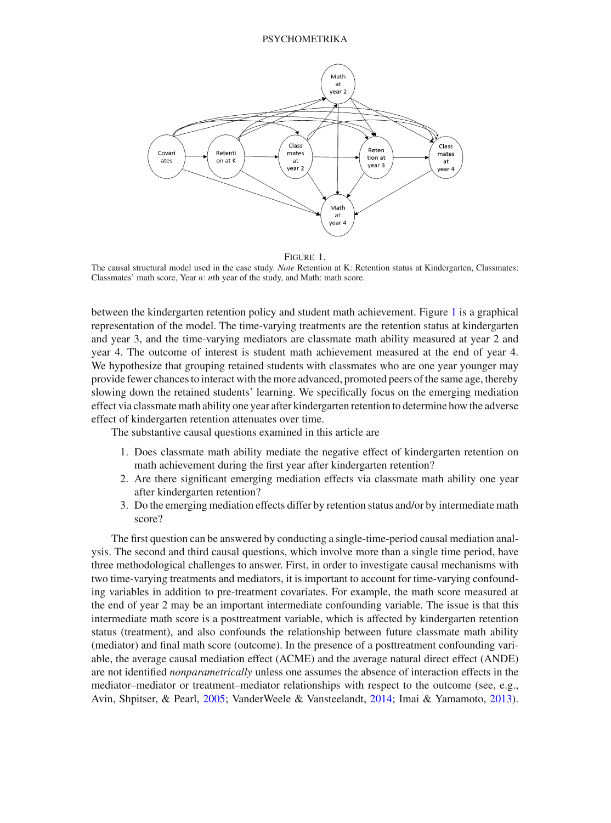

Figure 1.

<span id="page-1-0"></span>The causal structural model used in the case study. *Note* Retention at K: Retention status at Kindergarten, Classmates: Classmates' math score, Year *n*: *n*th year of the study, and Math: math score.

between the kindergarten retention policy and student math achievement. Figure [1](#page-1-0) is a graphical representation of the model. The time-varying treatments are the retention status at kindergarten and year 3, and the time-varying mediators are classmate math ability measured at year 2 and year 4. The outcome of interest is student math achievement measured at the end of year 4. We hypothesize that grouping retained students with classmates who are one year younger may provide fewer chances to interact with the more advanced, promoted peers of the same age, thereby slowing down the retained students' learning. We specifically focus on the emerging mediation effect via classmate math ability one year after kindergarten retention to determine how the adverse effect of kindergarten retention attenuates over time.

The substantive causal questions examined in this article are

- 1. Does classmate math ability mediate the negative effect of kindergarten retention on math achievement during the first year after kindergarten retention?
- 2. Are there significant emerging mediation effects via classmate math ability one year after kindergarten retention?
- 3. Do the emerging mediation effects differ by retention status and/or by intermediate math score?

The first question can be answered by conducting a single-time-period causal mediation analysis. The second and third causal questions, which involve more than a single time period, have three methodological challenges to answer. First, in order to investigate causal mechanisms with two time-varying treatments and mediators, it is important to account for time-varying confounding variables in addition to pre-treatment covariates. For example, the math score measured at the end of year 2 may be an important intermediate confounding variable. The issue is that this intermediate math score is a posttreatment variable, which is affected by kindergarten retention status (treatment), and also confounds the relationship between future classmate math ability (mediator) and final math score (outcome). In the presence of a posttreatment confounding variable, the average causal mediation effect (ACME) and the average natural direct effect (ANDE) are not identified *nonparametrically* unless one assumes the absence of interaction effects in the mediator–mediator or treatment–mediator relationships with respect to the outcome (see, e.g., Avin, Shpitser, & Pearl, [2005;](#page-21-2) VanderWeele & Vansteelandt, [2014](#page-22-1); Imai & Yamamoto, [2013\)](#page-21-3).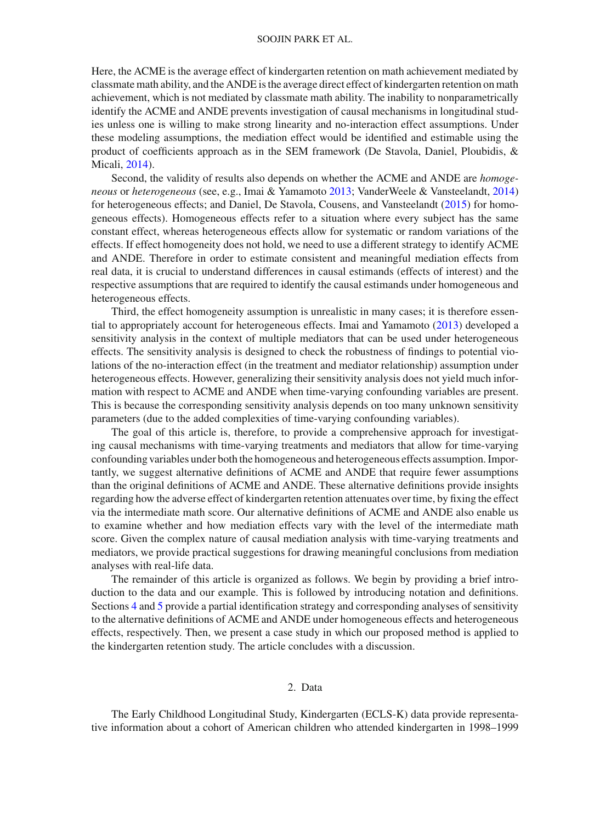Here, the ACME is the average effect of kindergarten retention on math achievement mediated by classmate math ability, and the ANDE is the average direct effect of kindergarten retention on math achievement, which is not mediated by classmate math ability. The inability to nonparametrically identify the ACME and ANDE prevents investigation of causal mechanisms in longitudinal studies unless one is willing to make strong linearity and no-interaction effect assumptions. Under these modeling assumptions, the mediation effect would be identified and estimable using the product of coefficients approach as in the SEM framework (De Stavola, Daniel, Ploubidis, & Micali, [2014\)](#page-21-4).

Second, the validity of results also depends on whether the ACME and ANDE are *homogeneous* or *heterogeneous* (see, e.g., Imai & Yamamoto [2013;](#page-21-3) VanderWeele & Vansteelandt, [2014](#page-22-1)) for heterogeneous effects; and Daniel, De Stavola, Cousens, and Vansteelandt [\(2015](#page-21-5)) for homogeneous effects). Homogeneous effects refer to a situation where every subject has the same constant effect, whereas heterogeneous effects allow for systematic or random variations of the effects. If effect homogeneity does not hold, we need to use a different strategy to identify ACME and ANDE. Therefore in order to estimate consistent and meaningful mediation effects from real data, it is crucial to understand differences in causal estimands (effects of interest) and the respective assumptions that are required to identify the causal estimands under homogeneous and heterogeneous effects.

Third, the effect homogeneity assumption is unrealistic in many cases; it is therefore essential to appropriately account for heterogeneous effects. Imai and Yamamoto [\(2013\)](#page-21-3) developed a sensitivity analysis in the context of multiple mediators that can be used under heterogeneous effects. The sensitivity analysis is designed to check the robustness of findings to potential violations of the no-interaction effect (in the treatment and mediator relationship) assumption under heterogeneous effects. However, generalizing their sensitivity analysis does not yield much information with respect to ACME and ANDE when time-varying confounding variables are present. This is because the corresponding sensitivity analysis depends on too many unknown sensitivity parameters (due to the added complexities of time-varying confounding variables).

The goal of this article is, therefore, to provide a comprehensive approach for investigating causal mechanisms with time-varying treatments and mediators that allow for time-varying confounding variables under both the homogeneous and heterogeneous effects assumption. Importantly, we suggest alternative definitions of ACME and ANDE that require fewer assumptions than the original definitions of ACME and ANDE. These alternative definitions provide insights regarding how the adverse effect of kindergarten retention attenuates over time, by fixing the effect via the intermediate math score. Our alternative definitions of ACME and ANDE also enable us to examine whether and how mediation effects vary with the level of the intermediate math score. Given the complex nature of causal mediation analysis with time-varying treatments and mediators, we provide practical suggestions for drawing meaningful conclusions from mediation analyses with real-life data.

The remainder of this article is organized as follows. We begin by providing a brief introduction to the data and our example. This is followed by introducing notation and definitions. Sections [4](#page-7-0) and [5](#page-9-0) provide a partial identification strategy and corresponding analyses of sensitivity to the alternative definitions of ACME and ANDE under homogeneous effects and heterogeneous effects, respectively. Then, we present a case study in which our proposed method is applied to the kindergarten retention study. The article concludes with a discussion.

## 2. Data

<span id="page-2-0"></span>The Early Childhood Longitudinal Study, Kindergarten (ECLS-K) data provide representative information about a cohort of American children who attended kindergarten in 1998–1999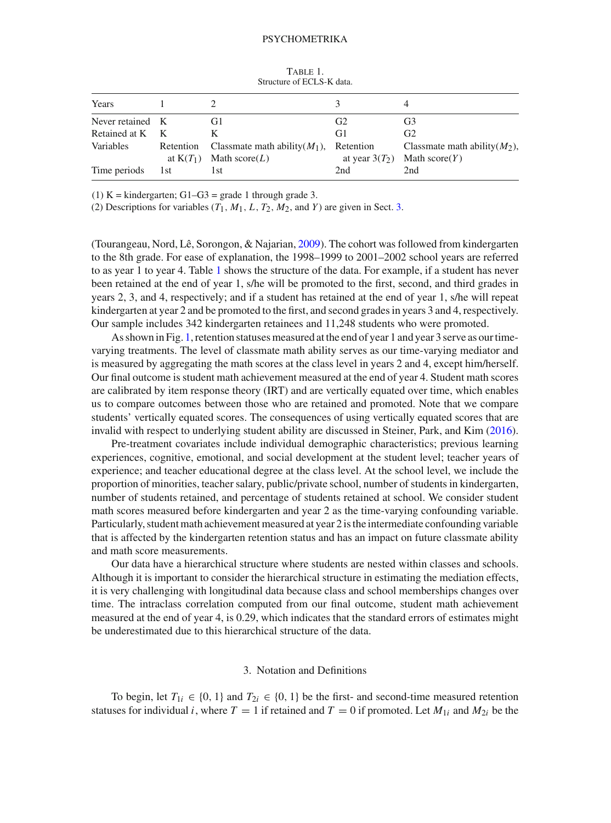| 1 <i>110111</i> 11<br>Structure of ECLS-K data. |     |                                                      |                               |                                                     |  |
|-------------------------------------------------|-----|------------------------------------------------------|-------------------------------|-----------------------------------------------------|--|
| Years                                           |     |                                                      |                               |                                                     |  |
| Never retained K                                |     | G1                                                   | G <sub>2</sub>                | G3                                                  |  |
| Retained at K                                   | K   | K                                                    | G1                            | G <sub>2</sub>                                      |  |
| Variables<br>Retention<br>at $K(T_1)$           |     | Classmate math ability $(M_1)$ ,<br>Math score $(L)$ | Retention<br>at year $3(T_2)$ | Classmate math ability $(M_2)$ ,<br>Math $score(Y)$ |  |
| Time periods                                    | 1st | 1st                                                  | 2nd                           | 2nd                                                 |  |

<span id="page-3-1"></span>TABLE 1

(1) K = kindergarten; G1–G3 = grade 1 through grade 3.

(2) Descriptions for variables  $(T_1, M_1, L, T_2, M_2,$  and *Y*) are given in Sect. [3.](#page-3-0)

(Tourangeau, Nord, Lê, Sorongon, & Najarian, [2009\)](#page-22-2). The cohort was followed from kindergarten to the 8th grade. For ease of explanation, the 1998–1999 to 2001–2002 school years are referred to as year 1 to year 4. Table [1](#page-3-1) shows the structure of the data. For example, if a student has never been retained at the end of year 1, s/he will be promoted to the first, second, and third grades in years 2, 3, and 4, respectively; and if a student has retained at the end of year 1, s/he will repeat kindergarten at year 2 and be promoted to the first, and second grades in years 3 and 4, respectively. Our sample includes 342 kindergarten retainees and 11,248 students who were promoted.

As shown in Fig. [1,](#page-1-0) retention statuses measured at the end of year 1 and year 3 serve as our timevarying treatments. The level of classmate math ability serves as our time-varying mediator and is measured by aggregating the math scores at the class level in years 2 and 4, except him/herself. Our final outcome is student math achievement measured at the end of year 4. Student math scores are calibrated by item response theory (IRT) and are vertically equated over time, which enables us to compare outcomes between those who are retained and promoted. Note that we compare students' vertically equated scores. The consequences of using vertically equated scores that are invalid with respect to underlying student ability are discussed in Steiner, Park, and Kim [\(2016\)](#page-22-3).

Pre-treatment covariates include individual demographic characteristics; previous learning experiences, cognitive, emotional, and social development at the student level; teacher years of experience; and teacher educational degree at the class level. At the school level, we include the proportion of minorities, teacher salary, public/private school, number of students in kindergarten, number of students retained, and percentage of students retained at school. We consider student math scores measured before kindergarten and year 2 as the time-varying confounding variable. Particularly, student math achievement measured at year 2 is the intermediate confounding variable that is affected by the kindergarten retention status and has an impact on future classmate ability and math score measurements.

Our data have a hierarchical structure where students are nested within classes and schools. Although it is important to consider the hierarchical structure in estimating the mediation effects, it is very challenging with longitudinal data because class and school memberships changes over time. The intraclass correlation computed from our final outcome, student math achievement measured at the end of year 4, is 0.29, which indicates that the standard errors of estimates might be underestimated due to this hierarchical structure of the data.

### 3. Notation and Definitions

<span id="page-3-0"></span>To begin, let  $T_{1i} \in \{0, 1\}$  and  $T_{2i} \in \{0, 1\}$  be the first- and second-time measured retention statuses for individual *i*, where  $T = 1$  if retained and  $T = 0$  if promoted. Let  $M_{1i}$  and  $M_{2i}$  be the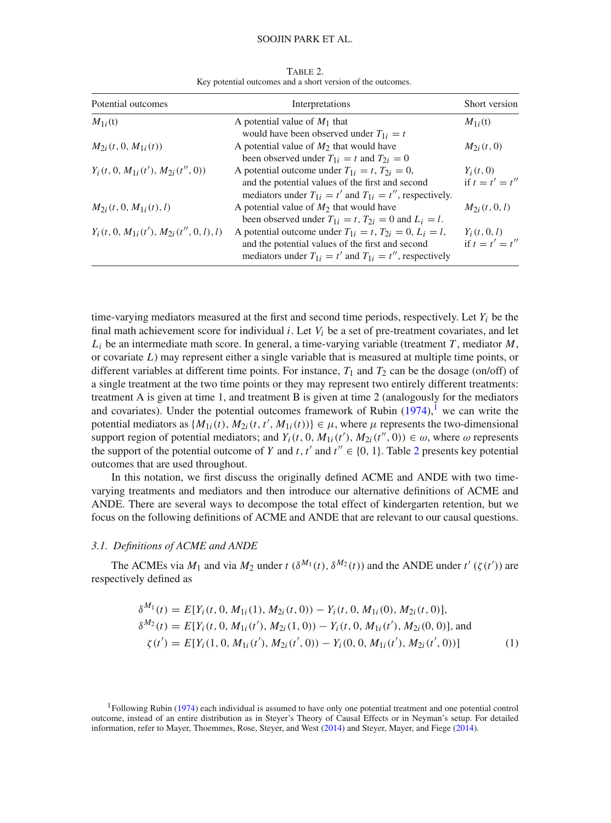#### SOOJIN PARK ET AL.

| Potential outcomes                          | Interpretations                                                                                                                                                                            | Short version<br>$M_{1i}(t)$     |  |
|---------------------------------------------|--------------------------------------------------------------------------------------------------------------------------------------------------------------------------------------------|----------------------------------|--|
| $M_{1i}(t)$                                 | A potential value of $M_1$ that<br>would have been observed under $T_{1i} = t$                                                                                                             |                                  |  |
| $M_{2i}(t, 0, M_{1i}(t))$                   | A potential value of $M_2$ that would have<br>been observed under $T_{1i} = t$ and $T_{2i} = 0$                                                                                            | $M_{2i}(t, 0)$                   |  |
| $Y_i(t, 0, M_{1i}(t'), M_{2i}(t'', 0))$     | A potential outcome under $T_{1i} = t$ , $T_{2i} = 0$ ,<br>and the potential values of the first and second<br>mediators under $T_{1i} = t'$ and $T_{1i} = t''$ , respectively.            | $Y_i(t, 0)$<br>if $t = t' = t''$ |  |
| $M_{2i}(t, 0, M_{1i}(t), l)$                | A potential value of $M_2$ that would have<br>been observed under $T_{1i} = t$ , $T_{2i} = 0$ and $L_i = l$ .                                                                              | $M_{2i}(t, 0, l)$                |  |
| $Y_i(t, 0, M_1, (t'), M_2, (t'', 0, l), l)$ | A potential outcome under $T_{1i} = t$ , $T_{2i} = 0$ , $L_i = l$ ,<br>and the potential values of the first and second<br>mediators under $T_{1i} = t'$ and $T_{1i} = t''$ , respectively | $Y_i(t, 0, l)$<br>if $t=t'=t''$  |  |

<span id="page-4-1"></span>Table 2. Key potential outcomes and a short version of the outcomes.

time-varying mediators measured at the first and second time periods, respectively. Let  $Y_i$  be the final math achievement score for individual *i*. Let *Vi* be a set of pre-treatment covariates, and let  $L_i$  be an intermediate math score. In general, a time-varying variable (treatment *T*, mediator *M*, or covariate *L*) may represent either a single variable that is measured at multiple time points, or different variables at different time points. For instance,  $T_1$  and  $T_2$  can be the dosage (on/off) of a single treatment at the two time points or they may represent two entirely different treatments: treatment A is given at time 1, and treatment B is given at time 2 (analogously for the mediators and covariates). Under the potential outcomes framework of Rubin  $(1974)$ ,<sup>[1](#page-4-0)</sup> we can write the potential mediators as  $\{M_{1i}(t), M_{2i}(t, t', M_{1i}(t))\} \in \mu$ , where  $\mu$  represents the two-dimensional support region of potential mediators; and  $Y_i(t, 0, M_{1i}(t'), M_{2i}(t'', 0)) \in \omega$ , where  $\omega$  represents the support of the potential outcome of *Y* and  $t$ ,  $t'$  and  $t'' \in \{0, 1\}$ . Table [2](#page-4-1) presents key potential outcomes that are used throughout.

In this notation, we first discuss the originally defined ACME and ANDE with two timevarying treatments and mediators and then introduce our alternative definitions of ACME and ANDE. There are several ways to decompose the total effect of kindergarten retention, but we focus on the following definitions of ACME and ANDE that are relevant to our causal questions.

#### <span id="page-4-3"></span>*3.1. Definitions of ACME and ANDE*

The ACMEs via  $M_1$  and via  $M_2$  under  $t \left( \delta^{M_1}(t), \delta^{M_2}(t) \right)$  and the ANDE under  $t' \left( \zeta(t') \right)$  are respectively defined as

<span id="page-4-2"></span>
$$
\delta^{M_1}(t) = E[Y_i(t, 0, M_{1i}(1), M_{2i}(t, 0)) - Y_i(t, 0, M_{1i}(0), M_{2i}(t, 0)],
$$
  
\n
$$
\delta^{M_2}(t) = E[Y_i(t, 0, M_{1i}(t'), M_{2i}(1, 0)) - Y_i(t, 0, M_{1i}(t'), M_{2i}(0, 0)],
$$
 and  
\n
$$
\zeta(t') = E[Y_i(1, 0, M_{1i}(t'), M_{2i}(t', 0)) - Y_i(0, 0, M_{1i}(t'), M_{2i}(t', 0))]
$$
\n(1)

<span id="page-4-0"></span><sup>&</sup>lt;sup>1</sup>Following Rubin [\(1974\)](#page-22-4) each individual is assumed to have only one potential treatment and one potential control outcome, instead of an entire distribution as in Steyer's Theory of Causal Effects or in Neyman's setup. For detailed information, refer to Mayer, Thoemmes, Rose, Steyer, and West [\(2014](#page-21-6)) and Steyer, Mayer, and Fiege [\(2014\)](#page-22-5).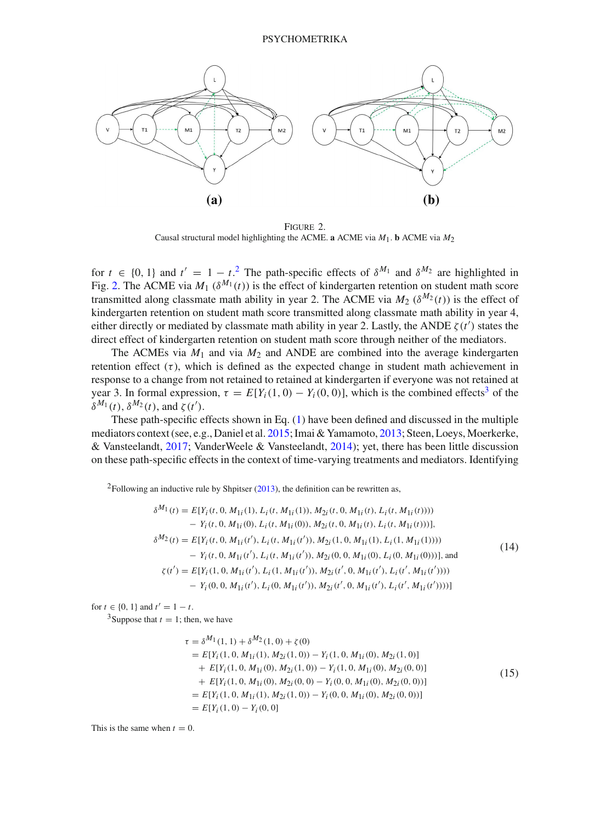

<span id="page-5-1"></span>Figure 2. Causal structural model highlighting the ACME. **a** ACME via  $M_1$ . **b** ACME via  $M_2$ 

for  $t \in \{0, 1\}$  and  $t' = 1 - t^2$  $t' = 1 - t^2$ . The path-specific effects of  $\delta^{M_1}$  and  $\delta^{M_2}$  are highlighted in Fig. [2.](#page-5-1) The ACME via  $M_1$  ( $\delta^{M_1}(t)$ ) is the effect of kindergarten retention on student math score transmitted along classmate math ability in year 2. The ACME via  $M_2$  ( $\delta^{M_2}(t)$ ) is the effect of kindergarten retention on student math score transmitted along classmate math ability in year 4, either directly or mediated by classmate math ability in year 2. Lastly, the ANDE  $\zeta(t')$  states the direct effect of kindergarten retention on student math score through neither of the mediators.

The ACMEs via  $M_1$  and via  $M_2$  and ANDE are combined into the average kindergarten retention effect  $(\tau)$ , which is defined as the expected change in student math achievement in response to a change from not retained to retained at kindergarten if everyone was not retained at year [3](#page-5-2). In formal expression,  $\tau = E[Y_i(1, 0) - Y_i(0, 0)]$ , which is the combined effects<sup>3</sup> of the  $\delta^{M_1}(t)$ ,  $\delta^{M_2}(t)$ , and  $\zeta(t')$ .

These path-specific effects shown in Eq. [\(1\)](#page-4-2) have been defined and discussed in the multiple mediators context (see, e.g., Daniel et al. [2015;](#page-21-5) Imai & Yamamoto, [2013;](#page-21-3) Steen, Loeys, Moerkerke, & Vansteelandt, [2017](#page-22-6); VanderWeele & Vansteelandt, [2014\)](#page-22-1); yet, there has been little discussion on these path-specific effects in the context of time-varying treatments and mediators. Identifying

<span id="page-5-0"></span><sup>2</sup>Following an inductive rule by Shpitser  $(2013)$  $(2013)$ , the definition can be rewritten as,

$$
\delta^{M_1}(t) = E[Y_i(t, 0, M_{1i}(1), L_i(t, M_{1i}(1)), M_{2i}(t, 0, M_{1i}(t), L_i(t, M_{1i}(t))))
$$
  
\n
$$
- Y_i(t, 0, M_{1i}(0), L_i(t, M_{1i}(0)), M_{2i}(t, 0, M_{1i}(t), L_i(t, M_{1i}(t))))
$$
  
\n
$$
\delta^{M_2}(t) = E[Y_i(t, 0, M_{1i}(t'), L_i(t, M_{1i}(t')), M_{2i}(1, 0, M_{1i}(1), L_i(1, M_{1i}(1))))
$$
  
\n
$$
- Y_i(t, 0, M_{1i}(t'), L_i(t, M_{1i}(t')), M_{2i}(0, 0, M_{1i}(0), L_i(0, M_{1i}(0)))]
$$
, and  
\n
$$
\zeta(t') = E[Y_i(1, 0, M_{1i}(t'), L_i(1, M_{1i}(t')), M_{2i}(t', 0, M_{1i}(t'), L_i(t', M_{1i}(t'))))
$$
  
\n
$$
- Y_i(0, 0, M_{1i}(t'), L_i(0, M_{1i}(t')), M_{2i}(t', 0, M_{1i}(t'), L_i(t', M_{1i}(t'))))]
$$
\n(14)

for  $t \in \{0, 1\}$  and  $t' = 1 - t$ .

<span id="page-5-2"></span><sup>3</sup>Suppose that  $t = 1$ ; then, we have

$$
\tau = \delta^{M_1}(1, 1) + \delta^{M_2}(1, 0) + \zeta(0)
$$
  
=  $E[Y_i(1, 0, M_{1i}(1), M_{2i}(1, 0)) - Y_i(1, 0, M_{1i}(0), M_{2i}(1, 0))$   
+  $E[Y_i(1, 0, M_{1i}(0), M_{2i}(1, 0)) - Y_i(1, 0, M_{1i}(0), M_{2i}(0, 0))$   
+  $E[Y_i(1, 0, M_{1i}(0), M_{2i}(0, 0) - Y_i(0, 0, M_{1i}(0), M_{2i}(0, 0))]$   
=  $E[Y_i(1, 0, M_{1i}(1), M_{2i}(1, 0)) - Y_i(0, 0, M_{1i}(0), M_{2i}(0, 0))]$   
=  $E[Y_i(1, 0) - Y_i(0, 0)]$  (15)

This is the same when  $t = 0$ .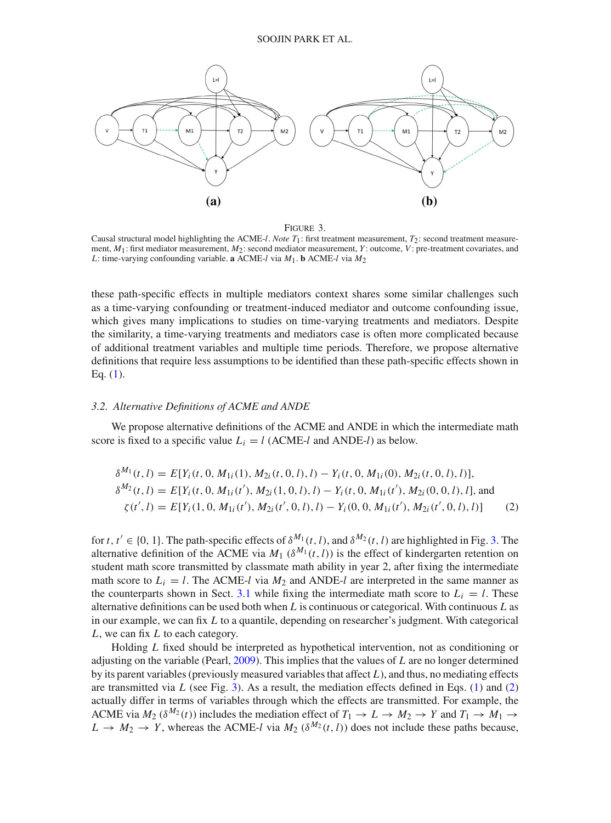

Figure 3.

<span id="page-6-0"></span>Causal structural model highlighting the ACME-*l*. *Note T*1: first treatment measurement, *T*2: second treatment measurement,  $M_1$ : first mediator measurement,  $M_2$ : second mediator measurement,  $Y$ : outcome,  $V$ : pre-treatment covariates, and *L*: time-varying confounding variable. **a** ACME-*l* via  $M_1$ . **b** ACME-*l* via  $M_2$ 

these path-specific effects in multiple mediators context shares some similar challenges such as a time-varying confounding or treatment-induced mediator and outcome confounding issue, which gives many implications to studies on time-varying treatments and mediators. Despite the similarity, a time-varying treatments and mediators case is often more complicated because of additional treatment variables and multiple time periods. Therefore, we propose alternative definitions that require less assumptions to be identified than these path-specific effects shown in Eq. [\(1\)](#page-4-2).

### *3.2. Alternative Definitions of ACME and ANDE*

We propose alternative definitions of the ACME and ANDE in which the intermediate math score is fixed to a specific value  $L_i = l$  (ACME-*l* and ANDE-*l*) as below.

<span id="page-6-1"></span>
$$
\delta^{M_1}(t, l) = E[Y_i(t, 0, M_{1i}(1), M_{2i}(t, 0, l), l) - Y_i(t, 0, M_{1i}(0), M_{2i}(t, 0, l), l)],
$$
  
\n
$$
\delta^{M_2}(t, l) = E[Y_i(t, 0, M_{1i}(t'), M_{2i}(1, 0, l), l) - Y_i(t, 0, M_{1i}(t'), M_{2i}(0, 0, l), l],
$$
and  
\n
$$
\zeta(t', l) = E[Y_i(1, 0, M_{1i}(t'), M_{2i}(t', 0, l), l) - Y_i(0, 0, M_{1i}(t'), M_{2i}(t', 0, l), l)]
$$
\n(2)

for  $t, t' \in \{0, 1\}$ . The path-specific effects of  $\delta^{M_1}(t, l)$ , and  $\delta^{M_2}(t, l)$  are highlighted in Fig. [3.](#page-6-0) The alternative definition of the ACME via  $M_1$  ( $\delta^{M_1}(t, l)$ ) is the effect of kindergarten retention on student math score transmitted by classmate math ability in year 2, after fixing the intermediate math score to  $L_i = l$ . The ACME-*l* via  $M_2$  and ANDE-*l* are interpreted in the same manner as the counterparts shown in Sect. [3.1](#page-4-3) while fixing the intermediate math score to  $L_i = l$ . These alternative definitions can be used both when *L* is continuous or categorical. With continuous *L* as in our example, we can fix *L* to a quantile, depending on researcher's judgment. With categorical *L*, we can fix *L* to each category.

Holding *L* fixed should be interpreted as hypothetical intervention, not as conditioning or adjusting on the variable (Pearl, [2009\)](#page-21-7). This implies that the values of *L* are no longer determined by its parent variables (previously measured variables that affect *L*), and thus, no mediating effects are transmitted via  $L$  (see Fig. [3\)](#page-6-0). As a result, the mediation effects defined in Eqs.  $(1)$  and  $(2)$ actually differ in terms of variables through which the effects are transmitted. For example, the ACME via  $M_2$  ( $\delta^{M_2}(t)$ ) includes the mediation effect of  $T_1 \to L \to M_2 \to Y$  and  $T_1 \to M_1 \to$  $L \rightarrow M_2 \rightarrow Y$ , whereas the ACME-*l* via  $M_2$  ( $\delta^{M_2}(t, l)$ ) does not include these paths because,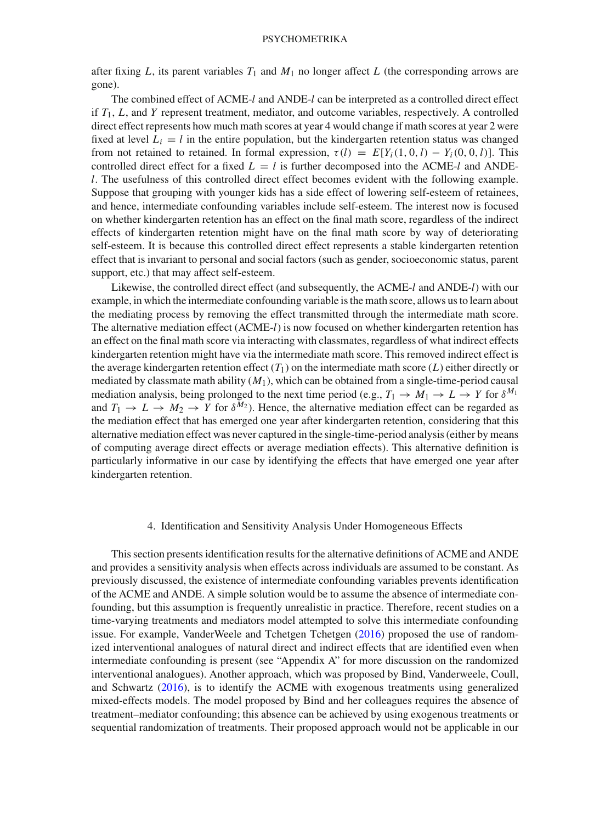### **PSYCHOMETRIKA**

after fixing  $L$ , its parent variables  $T_1$  and  $M_1$  no longer affect  $L$  (the corresponding arrows are gone).

The combined effect of ACME-*l* and ANDE-*l* can be interpreted as a controlled direct effect if  $T_1$ ,  $L$ , and  $Y$  represent treatment, mediator, and outcome variables, respectively. A controlled direct effect represents how much math scores at year 4 would change if math scores at year 2 were fixed at level  $L_i = l$  in the entire population, but the kindergarten retention status was changed from not retained to retained. In formal expression,  $\tau(l) = E[Y_i(1, 0, l) - Y_i(0, 0, l)]$ . This controlled direct effect for a fixed  $L = l$  is further decomposed into the ACME-*l* and ANDE*l*. The usefulness of this controlled direct effect becomes evident with the following example. Suppose that grouping with younger kids has a side effect of lowering self-esteem of retainees, and hence, intermediate confounding variables include self-esteem. The interest now is focused on whether kindergarten retention has an effect on the final math score, regardless of the indirect effects of kindergarten retention might have on the final math score by way of deteriorating self-esteem. It is because this controlled direct effect represents a stable kindergarten retention effect that is invariant to personal and social factors (such as gender, socioeconomic status, parent support, etc.) that may affect self-esteem.

Likewise, the controlled direct effect (and subsequently, the ACME-*l* and ANDE-*l*) with our example, in which the intermediate confounding variable is the math score, allows us to learn about the mediating process by removing the effect transmitted through the intermediate math score. The alternative mediation effect (ACME-*l*) is now focused on whether kindergarten retention has an effect on the final math score via interacting with classmates, regardless of what indirect effects kindergarten retention might have via the intermediate math score. This removed indirect effect is the average kindergarten retention effect  $(T_1)$  on the intermediate math score  $(L)$  either directly or mediated by classmate math ability (*M*1), which can be obtained from a single-time-period causal mediation analysis, being prolonged to the next time period (e.g.,  $T_1 \rightarrow M_1 \rightarrow L \rightarrow Y$  for  $\delta^{M_1}$ and  $T_1 \rightarrow L \rightarrow M_2 \rightarrow Y$  for  $\delta^{M_2}$ ). Hence, the alternative mediation effect can be regarded as the mediation effect that has emerged one year after kindergarten retention, considering that this alternative mediation effect was never captured in the single-time-period analysis (either by means of computing average direct effects or average mediation effects). This alternative definition is particularly informative in our case by identifying the effects that have emerged one year after kindergarten retention.

#### 4. Identification and Sensitivity Analysis Under Homogeneous Effects

<span id="page-7-0"></span>This section presents identification results for the alternative definitions of ACME and ANDE and provides a sensitivity analysis when effects across individuals are assumed to be constant. As previously discussed, the existence of intermediate confounding variables prevents identification of the ACME and ANDE. A simple solution would be to assume the absence of intermediate confounding, but this assumption is frequently unrealistic in practice. Therefore, recent studies on a time-varying treatments and mediators model attempted to solve this intermediate confounding issue. For example, VanderWeele and Tchetgen Tchetgen [\(2016](#page-22-8)) proposed the use of randomized interventional analogues of natural direct and indirect effects that are identified even when intermediate confounding is present (see "Appendix A" for more discussion on the randomized interventional analogues). Another approach, which was proposed by Bind, Vanderweele, Coull, and Schwartz [\(2016](#page-21-8)), is to identify the ACME with exogenous treatments using generalized mixed-effects models. The model proposed by Bind and her colleagues requires the absence of treatment–mediator confounding; this absence can be achieved by using exogenous treatments or sequential randomization of treatments. Their proposed approach would not be applicable in our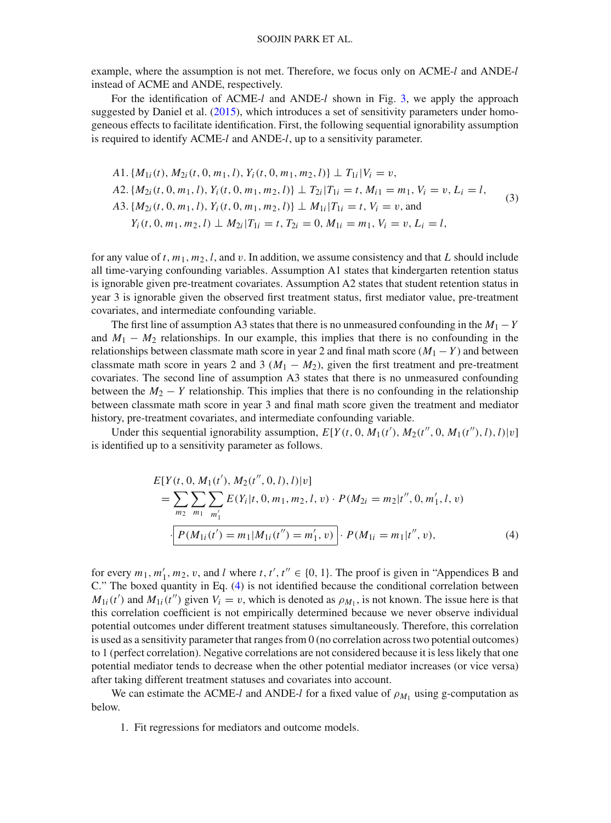example, where the assumption is not met. Therefore, we focus only on ACME-*l* and ANDE-*l* instead of ACME and ANDE, respectively.

For the identification of ACME-*l* and ANDE-*l* shown in Fig. [3,](#page-6-0) we apply the approach suggested by Daniel et al. [\(2015](#page-21-5)), which introduces a set of sensitivity parameters under homogeneous effects to facilitate identification. First, the following sequential ignorability assumption is required to identify ACME-*l* and ANDE-*l*, up to a sensitivity parameter.

<span id="page-8-1"></span>
$$
A1. \{M_{1i}(t), M_{2i}(t, 0, m_1, l), Y_i(t, 0, m_1, m_2, l)\} \perp T_{1i} |V_i = v,
$$
  
\n
$$
A2. \{M_{2i}(t, 0, m_1, l), Y_i(t, 0, m_1, m_2, l)\} \perp T_{2i} |T_{1i} = t, M_{i1} = m_1, V_i = v, L_i = l,
$$
  
\n
$$
A3. \{M_{2i}(t, 0, m_1, l), Y_i(t, 0, m_1, m_2, l)\} \perp M_{1i} |T_{1i} = t, V_i = v, \text{and}
$$
  
\n
$$
Y_i(t, 0, m_1, m_2, l) \perp M_{2i} |T_{1i} = t, T_{2i} = 0, M_{1i} = m_1, V_i = v, L_i = l,
$$
\n
$$
(3)
$$

for any value of *t*,  $m_1$ ,  $m_2$ , *l*, and *v*. In addition, we assume consistency and that *L* should include all time-varying confounding variables. Assumption A1 states that kindergarten retention status is ignorable given pre-treatment covariates. Assumption A2 states that student retention status in year 3 is ignorable given the observed first treatment status, first mediator value, pre-treatment covariates, and intermediate confounding variable.

The first line of assumption A3 states that there is no unmeasured confounding in the  $M_1 - Y$ and  $M_1 - M_2$  relationships. In our example, this implies that there is no confounding in the relationships between classmate math score in year 2 and final math score  $(M_1 - Y)$  and between classmate math score in years 2 and 3 ( $M_1 - M_2$ ), given the first treatment and pre-treatment covariates. The second line of assumption A3 states that there is no unmeasured confounding between the  $M_2 - Y$  relationship. This implies that there is no confounding in the relationship between classmate math score in year 3 and final math score given the treatment and mediator history, pre-treatment covariates, and intermediate confounding variable.

Under this sequential ignorability assumption,  $E[Y(t, 0, M_1(t'), M_2(t'', 0, M_1(t''), l), l)|v]$ is identified up to a sensitivity parameter as follows.

<span id="page-8-0"></span>
$$
E[Y(t, 0, M_1(t'), M_2(t'', 0, l), l)|v]
$$
  
= 
$$
\sum_{m_2} \sum_{m_1} \sum_{m'_1} E(Y_i|t, 0, m_1, m_2, l, v) \cdot P(M_{2i} = m_2|t'', 0, m'_1, l, v)
$$
  

$$
\cdot \left[ P(M_{1i}(t') = m_1|M_{1i}(t'') = m'_1, v) \right] \cdot P(M_{1i} = m_1|t'', v),
$$
 (4)

for every  $m_1, m'_1, m_2, v$ , and *l* where  $t, t', t'' \in \{0, 1\}$ . The proof is given in "Appendices B and C." The boxed quantity in Eq. [\(4\)](#page-8-0) is not identified because the conditional correlation between  $M_{1i}(t')$  and  $M_{1i}(t'')$  given  $V_i = v$ , which is denoted as  $\rho_{M_1}$ , is not known. The issue here is that this correlation coefficient is not empirically determined because we never observe individual potential outcomes under different treatment statuses simultaneously. Therefore, this correlation is used as a sensitivity parameter that ranges from 0 (no correlation across two potential outcomes) to 1 (perfect correlation). Negative correlations are not considered because it is less likely that one potential mediator tends to decrease when the other potential mediator increases (or vice versa) after taking different treatment statuses and covariates into account.

We can estimate the ACME-*l* and ANDE-*l* for a fixed value of  $\rho_{M_1}$  using g-computation as below.

1. Fit regressions for mediators and outcome models.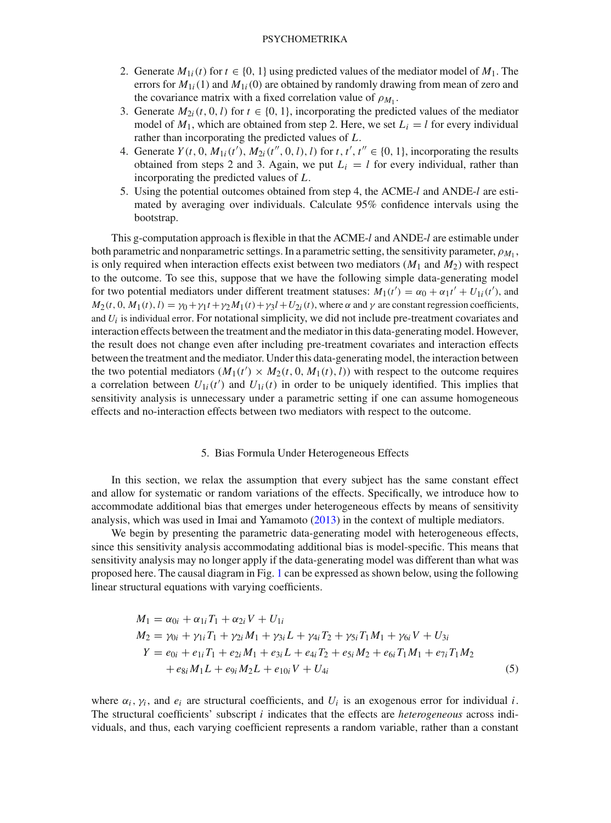### PSYCHOMETRIKA

- 2. Generate  $M_{1i}(t)$  for  $t \in \{0, 1\}$  using predicted values of the mediator model of  $M_1$ . The errors for  $M_{1i}(1)$  and  $M_{1i}(0)$  are obtained by randomly drawing from mean of zero and the covariance matrix with a fixed correlation value of  $\rho_{M_1}$ .
- 3. Generate  $M_{2i}(t, 0, l)$  for  $t \in \{0, 1\}$ , incorporating the predicted values of the mediator model of  $M_1$ , which are obtained from step 2. Here, we set  $L_i = l$  for every individual rather than incorporating the predicted values of *L*.
- 4. Generate  $Y(t, 0, M_{1i}(t'), M_{2i}(t'', 0, l), l)$  for  $t, t', t'' \in \{0, 1\}$ , incorporating the results obtained from steps 2 and 3. Again, we put  $L<sub>i</sub> = l$  for every individual, rather than incorporating the predicted values of *L*.
- 5. Using the potential outcomes obtained from step 4, the ACME-*l* and ANDE-*l* are estimated by averaging over individuals. Calculate 95% confidence intervals using the bootstrap.

This g-computation approach is flexible in that the ACME-*l* and ANDE-*l* are estimable under both parametric and nonparametric settings. In a parametric setting, the sensitivity parameter,  $\rho_{M_1}$ , is only required when interaction effects exist between two mediators  $(M_1 \text{ and } M_2)$  with respect to the outcome. To see this, suppose that we have the following simple data-generating model for two potential mediators under different treatment statuses:  $M_1(t') = \alpha_0 + \alpha_1 t' + U_{1i}(t')$ , and  $M_2(t, 0, M_1(t), l) = \gamma_0 + \gamma_1 t + \gamma_2 M_1(t) + \gamma_3 l + U_{2i}(t)$ , where  $\alpha$  and  $\gamma$  are constant regression coefficients, and *Ui* is individual error. For notational simplicity, we did not include pre-treatment covariates and interaction effects between the treatment and the mediator in this data-generating model. However, the result does not change even after including pre-treatment covariates and interaction effects between the treatment and the mediator. Under this data-generating model, the interaction between the two potential mediators  $(M_1(t') \times M_2(t, 0, M_1(t), l))$  with respect to the outcome requires a correlation between  $U_{1i}(t')$  and  $U_{1i}(t)$  in order to be uniquely identified. This implies that sensitivity analysis is unnecessary under a parametric setting if one can assume homogeneous effects and no-interaction effects between two mediators with respect to the outcome.

### 5. Bias Formula Under Heterogeneous Effects

<span id="page-9-0"></span>In this section, we relax the assumption that every subject has the same constant effect and allow for systematic or random variations of the effects. Specifically, we introduce how to accommodate additional bias that emerges under heterogeneous effects by means of sensitivity analysis, which was used in Imai and Yamamoto [\(2013](#page-21-3)) in the context of multiple mediators.

We begin by presenting the parametric data-generating model with heterogeneous effects, since this sensitivity analysis accommodating additional bias is model-specific. This means that sensitivity analysis may no longer apply if the data-generating model was different than what was proposed here. The causal diagram in Fig. [1](#page-1-0) can be expressed as shown below, using the following linear structural equations with varying coefficients.

<span id="page-9-1"></span>
$$
M_1 = \alpha_{0i} + \alpha_{1i}T_1 + \alpha_{2i}V + U_{1i}
$$
  
\n
$$
M_2 = \gamma_{0i} + \gamma_{1i}T_1 + \gamma_{2i}M_1 + \gamma_{3i}L + \gamma_{4i}T_2 + \gamma_{5i}T_1M_1 + \gamma_{6i}V + U_{3i}
$$
  
\n
$$
Y = e_{0i} + e_{1i}T_1 + e_{2i}M_1 + e_{3i}L + e_{4i}T_2 + e_{5i}M_2 + e_{6i}T_1M_1 + e_{7i}T_1M_2
$$
  
\n
$$
+ e_{8i}M_1L + e_{9i}M_2L + e_{10i}V + U_{4i}
$$
\n(5)

where  $\alpha_i$ ,  $\gamma_i$ , and  $e_i$  are structural coefficients, and  $U_i$  is an exogenous error for individual *i*. The structural coefficients' subscript *i* indicates that the effects are *heterogeneous* across individuals, and thus, each varying coefficient represents a random variable, rather than a constant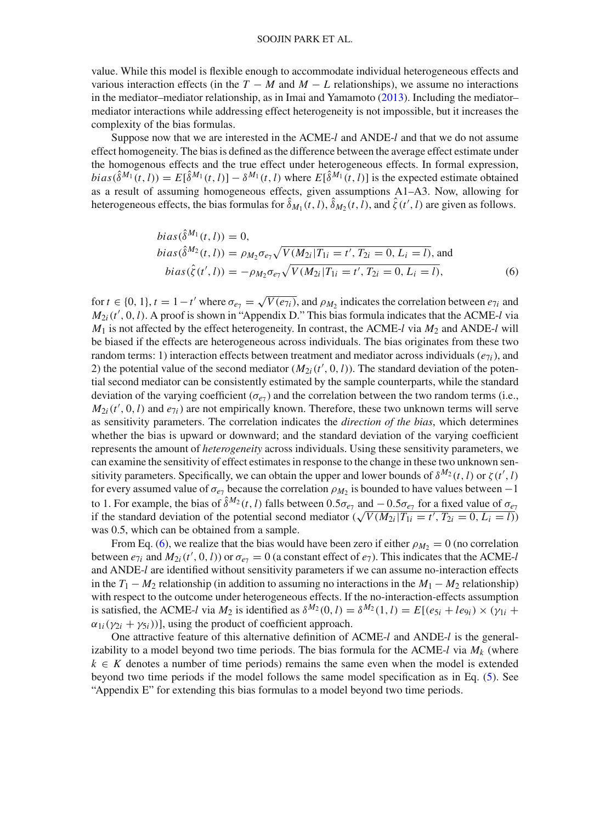#### SOOJIN PARK ET AL.

value. While this model is flexible enough to accommodate individual heterogeneous effects and various interaction effects (in the  $T - M$  and  $M - L$  relationships), we assume no interactions in the mediator–mediator relationship, as in Imai and Yamamoto  $(2013)$ . Including the mediator– mediator interactions while addressing effect heterogeneity is not impossible, but it increases the complexity of the bias formulas.

Suppose now that we are interested in the ACME-*l* and ANDE-*l* and that we do not assume effect homogeneity. The bias is defined as the difference between the average effect estimate under the homogenous effects and the true effect under heterogeneous effects. In formal expression,  $bias(\hat{\delta}^{M_1}(t, l)) = E[\hat{\delta}^{M_1}(t, l)] - \delta^{M_1}(t, l)$  where  $E[\hat{\delta}^{M_1}(t, l)]$  is the expected estimate obtained as a result of assuming homogeneous effects, given assumptions A1–A3. Now, allowing for heterogeneous effects, the bias formulas for  $\delta_{M_1}(t, l)$ ,  $\delta_{M_2}(t, l)$ , and  $\zeta(t', l)$  are given as follows.

<span id="page-10-0"></span>
$$
bias(\hat{\delta}^{M_1}(t, l)) = 0,
$$
  
\n
$$
bias(\hat{\delta}^{M_2}(t, l)) = \rho_{M_2} \sigma_{e_7} \sqrt{V(M_{2i} | T_{1i} = t', T_{2i} = 0, L_i = l)},
$$
 and  
\n
$$
bias(\hat{\zeta}(t', l)) = -\rho_{M_2} \sigma_{e_7} \sqrt{V(M_{2i} | T_{1i} = t', T_{2i} = 0, L_i = l)},
$$
\n(6)

for  $t \in \{0, 1\}$ ,  $t = 1 - t'$  where  $\sigma_{e\tau} = \sqrt{V(e_{\tau i})}$ , and  $\rho_{M_2}$  indicates the correlation between  $e_{\tau i}$  and *M*2*i*(*t* , 0,*l*). A proof is shown in "Appendix D." This bias formula indicates that the ACME-*l* via  $M_1$  is not affected by the effect heterogeneity. In contrast, the ACME-*l* via  $M_2$  and ANDE-*l* will be biased if the effects are heterogeneous across individuals. The bias originates from these two random terms: 1) interaction effects between treatment and mediator across individuals ( $e_{7i}$ ), and 2) the potential value of the second mediator  $(M_{2i}(t', 0, l))$ . The standard deviation of the potential second mediator can be consistently estimated by the sample counterparts, while the standard deviation of the varying coefficient ( $\sigma_{e7}$ ) and the correlation between the two random terms (i.e.,  $M_{2i}(t', 0, l)$  and  $e_{7i}$ ) are not empirically known. Therefore, these two unknown terms will serve as sensitivity parameters. The correlation indicates the *direction of the bias*, which determines whether the bias is upward or downward; and the standard deviation of the varying coefficient represents the amount of *heterogeneity* across individuals. Using these sensitivity parameters, we can examine the sensitivity of effect estimates in response to the change in these two unknown sensitivity parameters. Specifically, we can obtain the upper and lower bounds of  $\delta^{M_2}(t, l)$  or  $\zeta(t', l)$ for every assumed value of  $\sigma_{e7}$  because the correlation  $\rho_{M_2}$  is bounded to have values between −1 to 1. For example, the bias of  $\hat{\delta}^{M_2}(t, l)$  falls between  $0.5\sigma_{e_7}$  and  $-0.5\sigma_{e_7}$  for a fixed value of  $\sigma_{e_7}$ if the standard deviation of the potential second mediator  $(\sqrt{V(M_{2i}|T_{1i} = t', T_{2i} = 0, L_i = l)})$ was 0.5, which can be obtained from a sample.

From Eq. [\(6\)](#page-10-0), we realize that the bias would have been zero if either  $\rho_{M_2} = 0$  (no correlation between  $e_{7i}$  and  $M_{2i}(t', 0, l)$  or  $\sigma_{e_7} = 0$  (a constant effect of  $e_7$ ). This indicates that the ACME-*l* and ANDE-*l* are identified without sensitivity parameters if we can assume no-interaction effects in the  $T_1 - M_2$  relationship (in addition to assuming no interactions in the  $M_1 - M_2$  relationship) with respect to the outcome under heterogeneous effects. If the no-interaction-effects assumption is satisfied, the ACME-*l* via  $M_2$  is identified as  $\delta^{M_2}(0, l) = \delta^{M_2}(1, l) = E[(e_{5i} + le_{9i}) \times (\gamma_{1i} +$  $\alpha_{1i}(\gamma_{2i} + \gamma_{5i})$ ], using the product of coefficient approach.

One attractive feature of this alternative definition of ACME-*l* and ANDE-*l* is the generalizability to a model beyond two time periods. The bias formula for the ACME- $l$  via  $M_k$  (where  $k \in K$  denotes a number of time periods) remains the same even when the model is extended beyond two time periods if the model follows the same model specification as in Eq. [\(5\)](#page-9-1). See "Appendix E" for extending this bias formulas to a model beyond two time periods.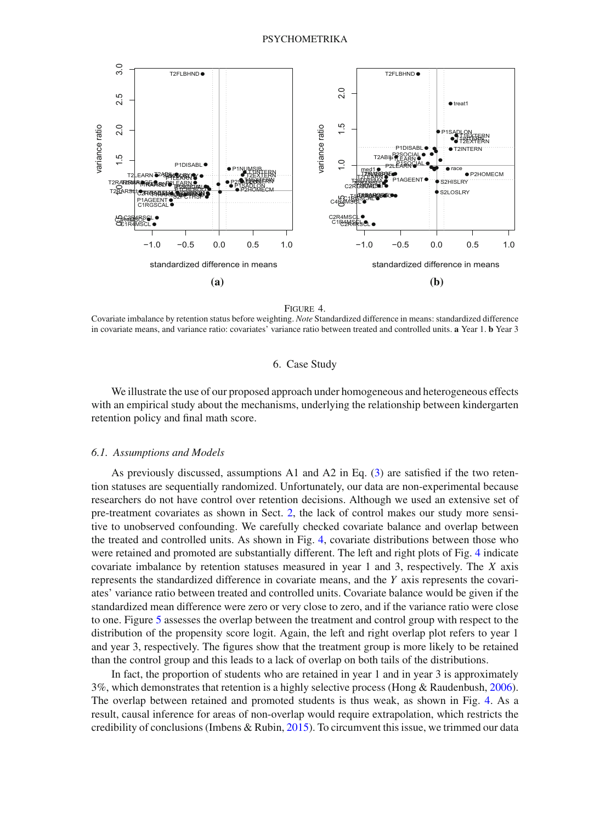

Figure 4.

<span id="page-11-0"></span>Covariate imbalance by retention status before weighting. *Note* Standardized difference in means: standardized difference in covariate means, and variance ratio: covariates' variance ratio between treated and controlled units. **a** Year 1. **b** Year 3

### 6. Case Study

We illustrate the use of our proposed approach under homogeneous and heterogeneous effects with an empirical study about the mechanisms, underlying the relationship between kindergarten retention policy and final math score.

### *6.1. Assumptions and Models*

As previously discussed, assumptions A1 and A2 in Eq. [\(3\)](#page-8-1) are satisfied if the two retention statuses are sequentially randomized. Unfortunately, our data are non-experimental because researchers do not have control over retention decisions. Although we used an extensive set of pre-treatment covariates as shown in Sect. [2,](#page-2-0) the lack of control makes our study more sensitive to unobserved confounding. We carefully checked covariate balance and overlap between the treated and controlled units. As shown in Fig. [4,](#page-11-0) covariate distributions between those who were retained and promoted are substantially different. The left and right plots of Fig. [4](#page-11-0) indicate covariate imbalance by retention statuses measured in year 1 and 3, respectively. The *X* axis represents the standardized difference in covariate means, and the *Y* axis represents the covariates' variance ratio between treated and controlled units. Covariate balance would be given if the standardized mean difference were zero or very close to zero, and if the variance ratio were close to one. Figure [5](#page-12-0) assesses the overlap between the treatment and control group with respect to the distribution of the propensity score logit. Again, the left and right overlap plot refers to year 1 and year 3, respectively. The figures show that the treatment group is more likely to be retained than the control group and this leads to a lack of overlap on both tails of the distributions.

In fact, the proportion of students who are retained in year 1 and in year 3 is approximately 3%, which demonstrates that retention is a highly selective process (Hong & Raudenbush, [2006\)](#page-21-1). The overlap between retained and promoted students is thus weak, as shown in Fig. [4.](#page-11-0) As a result, causal inference for areas of non-overlap would require extrapolation, which restricts the credibility of conclusions (Imbens & Rubin, [2015\)](#page-21-9). To circumvent this issue, we trimmed our data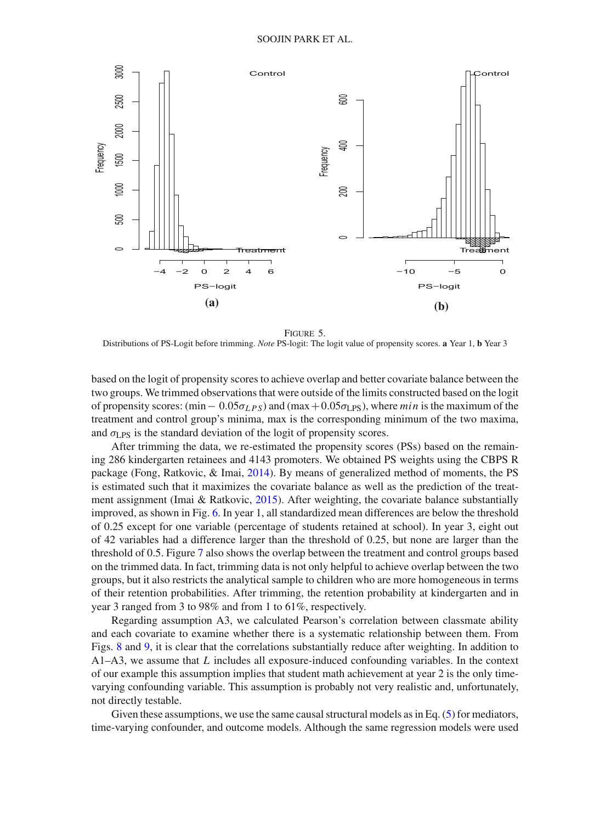

Figure 5.

<span id="page-12-0"></span>Distributions of PS-Logit before trimming. *Note* PS-logit: The logit value of propensity scores. **a** Year 1, **b** Year 3

based on the logit of propensity scores to achieve overlap and better covariate balance between the two groups. We trimmed observations that were outside of the limits constructed based on the logit of propensity scores:  $(\min -0.05\sigma_{LPS})$  and  $(\max +0.05\sigma_{LPS})$ , where *min* is the maximum of the treatment and control group's minima, max is the corresponding minimum of the two maxima, and  $\sigma_{LPS}$  is the standard deviation of the logit of propensity scores.

After trimming the data, we re-estimated the propensity scores (PSs) based on the remaining 286 kindergarten retainees and 4143 promoters. We obtained PS weights using the CBPS R package (Fong, Ratkovic, & Imai, [2014](#page-21-10)). By means of generalized method of moments, the PS is estimated such that it maximizes the covariate balance as well as the prediction of the treatment assignment (Imai & Ratkovic,  $2015$ ). After weighting, the covariate balance substantially improved, as shown in Fig. [6.](#page-13-0) In year 1, all standardized mean differences are below the threshold of 0.25 except for one variable (percentage of students retained at school). In year 3, eight out of 42 variables had a difference larger than the threshold of 0.25, but none are larger than the threshold of 0.5. Figure [7](#page-13-1) also shows the overlap between the treatment and control groups based on the trimmed data. In fact, trimming data is not only helpful to achieve overlap between the two groups, but it also restricts the analytical sample to children who are more homogeneous in terms of their retention probabilities. After trimming, the retention probability at kindergarten and in year 3 ranged from 3 to 98% and from 1 to 61%, respectively.

Regarding assumption A3, we calculated Pearson's correlation between classmate ability and each covariate to examine whether there is a systematic relationship between them. From Figs. [8](#page-14-0) and [9,](#page-14-1) it is clear that the correlations substantially reduce after weighting. In addition to A1–A3, we assume that *L* includes all exposure-induced confounding variables. In the context of our example this assumption implies that student math achievement at year 2 is the only timevarying confounding variable. This assumption is probably not very realistic and, unfortunately, not directly testable.

Given these assumptions, we use the same causal structural models as in Eq. [\(5\)](#page-9-1) for mediators, time-varying confounder, and outcome models. Although the same regression models were used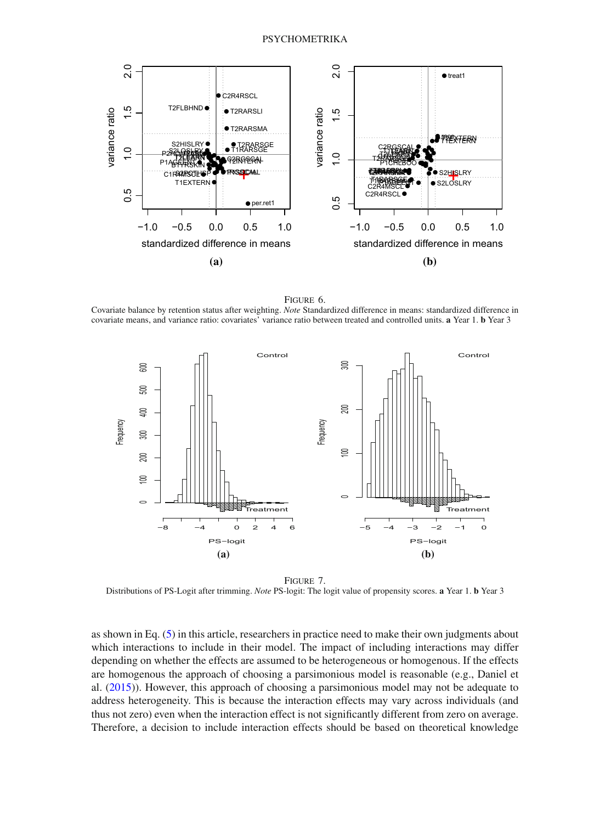

<span id="page-13-0"></span>Figure 6. Covariate balance by retention status after weighting. *Note* Standardized difference in means: standardized difference in covariate means, and variance ratio: covariates' variance ratio between treated and controlled units. **a** Year 1. **b** Year 3



<span id="page-13-1"></span>Figure 7. Distributions of PS-Logit after trimming. *Note* PS-logit: The logit value of propensity scores. **a** Year 1. **b** Year 3

as shown in Eq. [\(5\)](#page-9-1) in this article, researchers in practice need to make their own judgments about which interactions to include in their model. The impact of including interactions may differ depending on whether the effects are assumed to be heterogeneous or homogenous. If the effects are homogenous the approach of choosing a parsimonious model is reasonable (e.g., Daniel et al. [\(2015\)](#page-21-5)). However, this approach of choosing a parsimonious model may not be adequate to address heterogeneity. This is because the interaction effects may vary across individuals (and thus not zero) even when the interaction effect is not significantly different from zero on average. Therefore, a decision to include interaction effects should be based on theoretical knowledge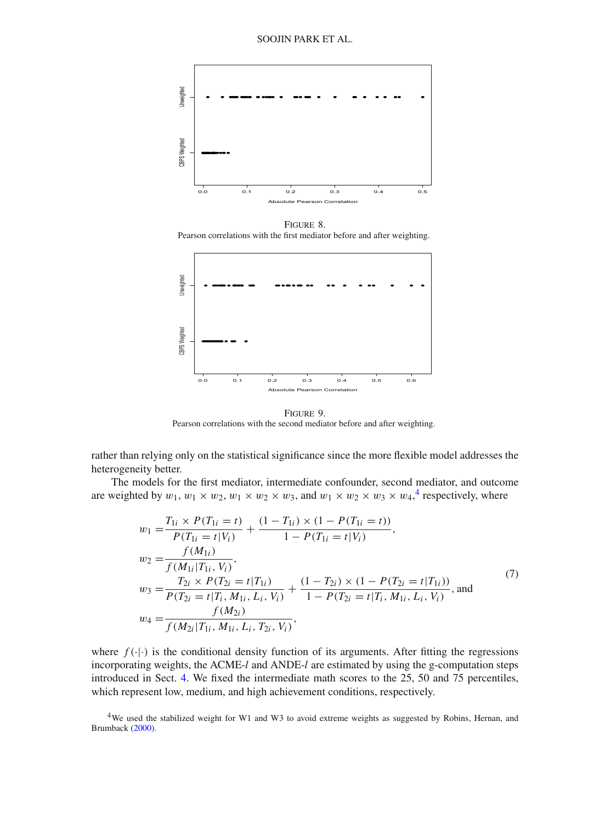

Figure 8. Pearson correlations with the first mediator before and after weighting.

<span id="page-14-0"></span>

<span id="page-14-1"></span>Figure 9. Pearson correlations with the second mediator before and after weighting.

rather than relying only on the statistical significance since the more flexible model addresses the heterogeneity better.

The models for the first mediator, intermediate confounder, second mediator, and outcome are weighted by  $w_1, w_1 \times w_2, w_1 \times w_2 \times w_3$ , and  $w_1 \times w_2 \times w_3 \times w_4$  $w_1 \times w_2 \times w_3 \times w_4$ ,<sup>4</sup> respectively, where

$$
w_1 = \frac{T_{1i} \times P(T_{1i} = t)}{P(T_{1i} = t | V_i)} + \frac{(1 - T_{1i}) \times (1 - P(T_{1i} = t))}{1 - P(T_{1i} = t | V_i)},
$$
  
\n
$$
w_2 = \frac{f(M_{1i})}{f(M_{1i} | T_{1i}, V_i)},
$$
  
\n
$$
w_3 = \frac{T_{2i} \times P(T_{2i} = t | T_{1i})}{P(T_{2i} = t | T_i, M_{1i}, L_i, V_i)} + \frac{(1 - T_{2i}) \times (1 - P(T_{2i} = t | T_{1i}))}{1 - P(T_{2i} = t | T_i, M_{1i}, L_i, V_i)},
$$
 and  
\n
$$
w_4 = \frac{f(M_{2i})}{f(M_{2i} | T_{1i}, M_{1i}, L_i, T_{2i}, V_i)},
$$
\n(7)

where  $f(\cdot|\cdot)$  is the conditional density function of its arguments. After fitting the regressions incorporating weights, the ACME-*l* and ANDE-*l* are estimated by using the g-computation steps introduced in Sect. [4.](#page-7-0) We fixed the intermediate math scores to the 25, 50 and 75 percentiles, which represent low, medium, and high achievement conditions, respectively.

<span id="page-14-2"></span>4We used the stabilized weight for W1 and W3 to avoid extreme weights as suggested by Robins, Hernan, and Brumback [\(2000\)](#page-21-12).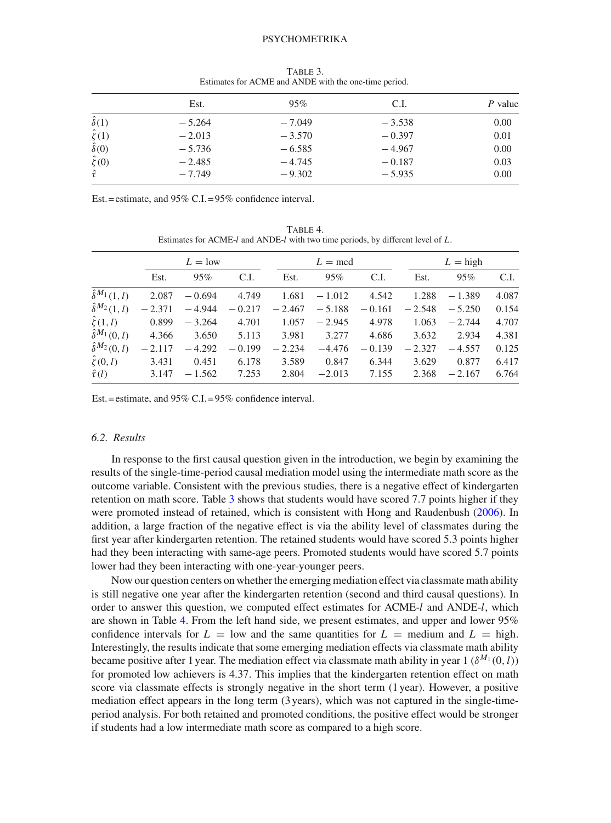#### **PSYCHOMETRIKA**

|                   | Est.     | 95%      | C.I.     | P value |
|-------------------|----------|----------|----------|---------|
| $\hat{\delta}(1)$ | $-5.264$ | $-7.049$ | $-3.538$ | 0.00    |
| $\hat{\zeta}(1)$  | $-2.013$ | $-3.570$ | $-0.397$ | 0.01    |
| $\hat{\delta}(0)$ | $-5.736$ | $-6.585$ | $-4.967$ | 0.00    |
| $\hat{\zeta}(0)$  | $-2.485$ | $-4.745$ | $-0.187$ | 0.03    |
| $\hat{\tau}$      | $-7.749$ | $-9.302$ | $-5.935$ | 0.00    |

<span id="page-15-0"></span>Table 3. Estimates for ACME and ANDE with the one-time period.

Est. = estimate, and 95% C.I. = 95% confidence interval.

<span id="page-15-1"></span>TABLE 4. Estimates for ACME-*l* and ANDE-*l* with two time periods, by different level of *L*.

|                           | $L = low$ |          |          | $L = \text{med}$ |          |          | $L =$ high |          |       |
|---------------------------|-----------|----------|----------|------------------|----------|----------|------------|----------|-------|
|                           | Est.      | 95%      | C.I.     | Est.             | 95%      | C.I.     | Est.       | 95%      | C.I.  |
| $\hat{\delta}^{M_1}(1,l)$ | 2.087     | $-0.694$ | 4.749    | 1.681            | $-1.012$ | 4.542    | 1.288      | $-1.389$ | 4.087 |
| $\hat{\delta}^{M_2}(1,l)$ | $-2.371$  | $-4.944$ | $-0.217$ | $-2.467$         | $-5.188$ | $-0.161$ | $-2.548$   | $-5.250$ | 0.154 |
| $\hat{\zeta}(1,l)$        | 0.899     | $-3.264$ | 4.701    | 1.057            | $-2.945$ | 4.978    | 1.063      | $-2.744$ | 4.707 |
| $\hat{\delta}^{M_1}(0,l)$ | 4.366     | 3.650    | 5.113    | 3.981            | 3.277    | 4.686    | 3.632      | 2.934    | 4.381 |
| $\hat{\delta}^{M_2}(0,l)$ | $-2.117$  | $-4.292$ | $-0.199$ | $-2.234$         | $-4.476$ | $-0.139$ | $-2.327$   | $-4.557$ | 0.125 |
| $\hat{\zeta}(0,l)$        | 3.431     | 0.451    | 6.178    | 3.589            | 0.847    | 6.344    | 3.629      | 0.877    | 6.417 |
| $\hat{\tau}(l)$           | 3.147     | $-1.562$ | 7.253    | 2.804            | $-2.013$ | 7.155    | 2.368      | $-2.167$ | 6.764 |

Est. = estimate, and 95% C.I. = 95% confidence interval.

## *6.2. Results*

In response to the first causal question given in the introduction, we begin by examining the results of the single-time-period causal mediation model using the intermediate math score as the outcome variable. Consistent with the previous studies, there is a negative effect of kindergarten retention on math score. Table [3](#page-15-0) shows that students would have scored 7.7 points higher if they were promoted instead of retained, which is consistent with Hong and Raudenbush [\(2006](#page-21-1)). In addition, a large fraction of the negative effect is via the ability level of classmates during the first year after kindergarten retention. The retained students would have scored 5.3 points higher had they been interacting with same-age peers. Promoted students would have scored 5.7 points lower had they been interacting with one-year-younger peers.

Now our question centers on whether the emerging mediation effect via classmate math ability is still negative one year after the kindergarten retention (second and third causal questions). In order to answer this question, we computed effect estimates for ACME-*l* and ANDE-*l*, which are shown in Table [4.](#page-15-1) From the left hand side, we present estimates, and upper and lower 95% confidence intervals for  $L =$  low and the same quantities for  $L =$  medium and  $L =$  high. Interestingly, the results indicate that some emerging mediation effects via classmate math ability became positive after 1 year. The mediation effect via classmate math ability in year  $1$  ( $\delta^{M_1}(0, l)$ ) for promoted low achievers is 4.37. This implies that the kindergarten retention effect on math score via classmate effects is strongly negative in the short term (1 year). However, a positive mediation effect appears in the long term (3 years), which was not captured in the single-timeperiod analysis. For both retained and promoted conditions, the positive effect would be stronger if students had a low intermediate math score as compared to a high score.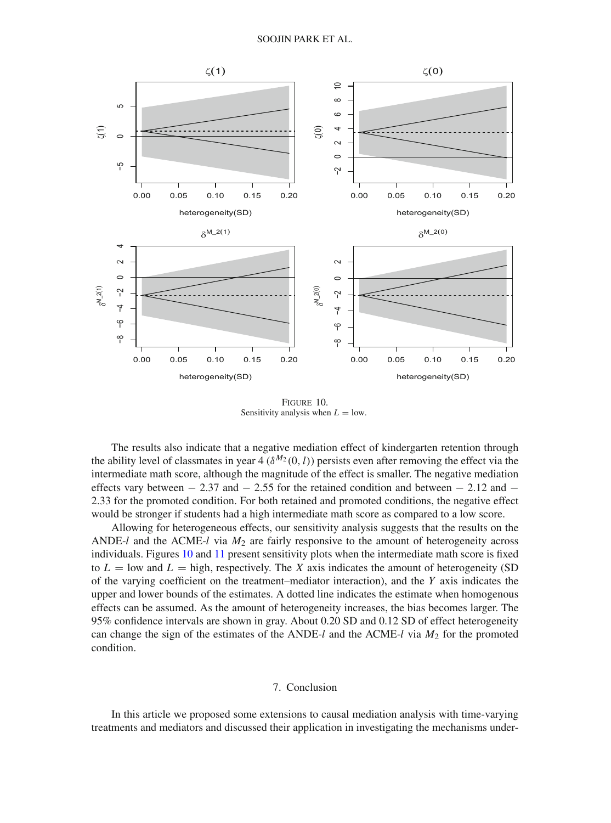

<span id="page-16-0"></span>Figure 10. Sensitivity analysis when  $L =$  low.

The results also indicate that a negative mediation effect of kindergarten retention through the ability level of classmates in year 4 ( $\delta^{M_2}(0, l)$ ) persists even after removing the effect via the intermediate math score, although the magnitude of the effect is smaller. The negative mediation effects vary between  $-2.37$  and  $-2.55$  for the retained condition and between  $-2.12$  and  $-$ 2.33 for the promoted condition. For both retained and promoted conditions, the negative effect would be stronger if students had a high intermediate math score as compared to a low score.

Allowing for heterogeneous effects, our sensitivity analysis suggests that the results on the ANDE-*l* and the ACME-*l* via *M*<sup>2</sup> are fairly responsive to the amount of heterogeneity across individuals. Figures [10](#page-16-0) and [11](#page-17-0) present sensitivity plots when the intermediate math score is fixed to  $L =$  low and  $L =$  high, respectively. The *X* axis indicates the amount of heterogeneity (SD of the varying coefficient on the treatment–mediator interaction), and the *Y* axis indicates the upper and lower bounds of the estimates. A dotted line indicates the estimate when homogenous effects can be assumed. As the amount of heterogeneity increases, the bias becomes larger. The 95% confidence intervals are shown in gray. About 0.20 SD and 0.12 SD of effect heterogeneity can change the sign of the estimates of the ANDE-*l* and the ACME-*l* via *M*<sup>2</sup> for the promoted condition.

## 7. Conclusion

In this article we proposed some extensions to causal mediation analysis with time-varying treatments and mediators and discussed their application in investigating the mechanisms under-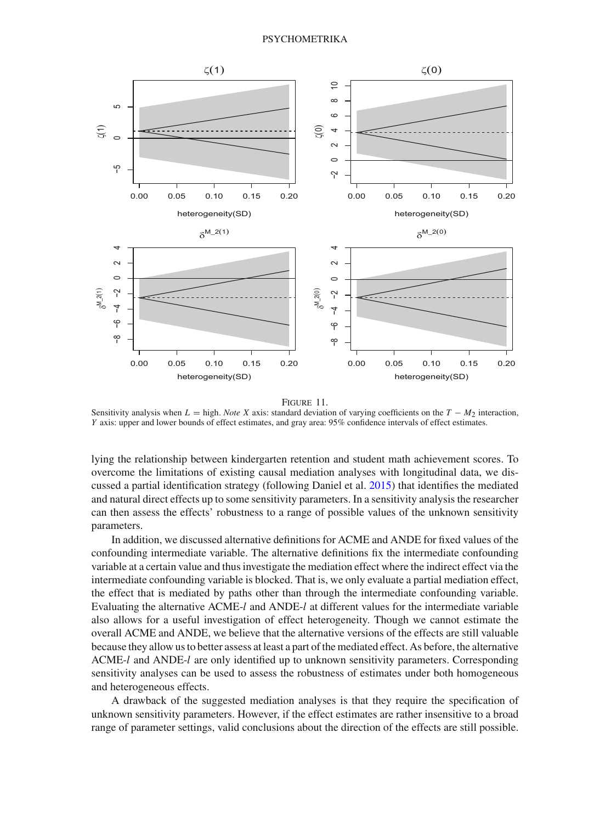

Figure 11.

<span id="page-17-0"></span>Sensitivity analysis when  $L =$  high. *Note X* axis: standard deviation of varying coefficients on the  $T - M_2$  interaction, *Y* axis: upper and lower bounds of effect estimates, and gray area: 95% confidence intervals of effect estimates.

lying the relationship between kindergarten retention and student math achievement scores. To overcome the limitations of existing causal mediation analyses with longitudinal data, we discussed a partial identification strategy (following Daniel et al. [2015\)](#page-21-5) that identifies the mediated and natural direct effects up to some sensitivity parameters. In a sensitivity analysis the researcher can then assess the effects' robustness to a range of possible values of the unknown sensitivity parameters.

In addition, we discussed alternative definitions for ACME and ANDE for fixed values of the confounding intermediate variable. The alternative definitions fix the intermediate confounding variable at a certain value and thus investigate the mediation effect where the indirect effect via the intermediate confounding variable is blocked. That is, we only evaluate a partial mediation effect, the effect that is mediated by paths other than through the intermediate confounding variable. Evaluating the alternative ACME-*l* and ANDE-*l* at different values for the intermediate variable also allows for a useful investigation of effect heterogeneity. Though we cannot estimate the overall ACME and ANDE, we believe that the alternative versions of the effects are still valuable because they allow us to better assess at least a part of the mediated effect. As before, the alternative ACME-*l* and ANDE-*l* are only identified up to unknown sensitivity parameters. Corresponding sensitivity analyses can be used to assess the robustness of estimates under both homogeneous and heterogeneous effects.

A drawback of the suggested mediation analyses is that they require the specification of unknown sensitivity parameters. However, if the effect estimates are rather insensitive to a broad range of parameter settings, valid conclusions about the direction of the effects are still possible.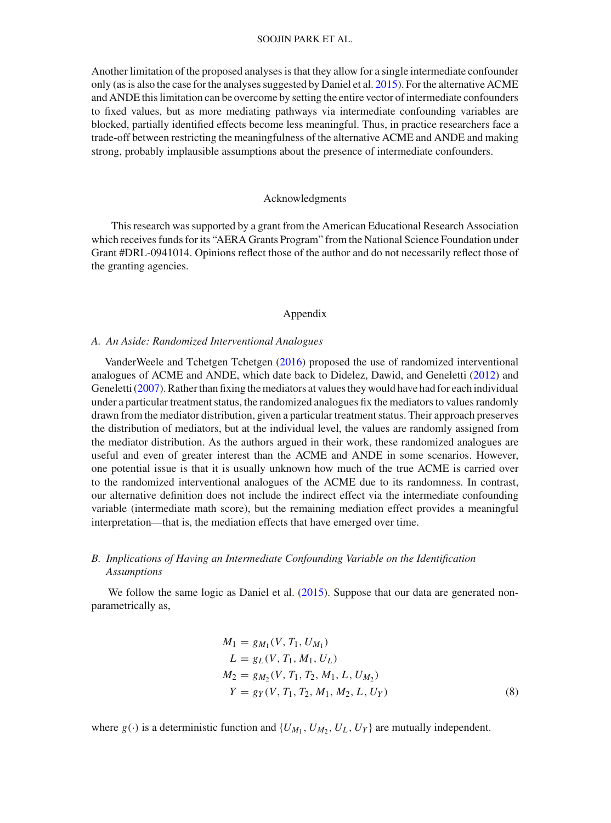### SOOJIN PARK ET AL.

Another limitation of the proposed analyses is that they allow for a single intermediate confounder only (as is also the case for the analyses suggested by Daniel et al. [2015](#page-21-5)). For the alternative ACME and ANDE this limitation can be overcome by setting the entire vector of intermediate confounders to fixed values, but as more mediating pathways via intermediate confounding variables are blocked, partially identified effects become less meaningful. Thus, in practice researchers face a trade-off between restricting the meaningfulness of the alternative ACME and ANDE and making strong, probably implausible assumptions about the presence of intermediate confounders.

#### Acknowledgments

This research was supported by a grant from the American Educational Research Association which receives funds for its "AERA Grants Program" from the National Science Foundation under Grant #DRL-0941014. Opinions reflect those of the author and do not necessarily reflect those of the granting agencies.

#### Appendix

#### *A. An Aside: Randomized Interventional Analogues*

VanderWeele and Tchetgen Tchetgen [\(2016\)](#page-22-8) proposed the use of randomized interventional analogues of ACME and ANDE, which date back to Didelez, Dawid, and Geneletti [\(2012](#page-21-13)) and Geneletti [\(2007](#page-21-14)). Rather than fixing the mediators at values they would have had for each individual under a particular treatment status, the randomized analogues fix the mediators to values randomly drawn from the mediator distribution, given a particular treatment status. Their approach preserves the distribution of mediators, but at the individual level, the values are randomly assigned from the mediator distribution. As the authors argued in their work, these randomized analogues are useful and even of greater interest than the ACME and ANDE in some scenarios. However, one potential issue is that it is usually unknown how much of the true ACME is carried over to the randomized interventional analogues of the ACME due to its randomness. In contrast, our alternative definition does not include the indirect effect via the intermediate confounding variable (intermediate math score), but the remaining mediation effect provides a meaningful interpretation—that is, the mediation effects that have emerged over time.

## *B. Implications of Having an Intermediate Confounding Variable on the Identification Assumptions*

We follow the same logic as Daniel et al. [\(2015](#page-21-5)). Suppose that our data are generated nonparametrically as,

$$
M_1 = g_{M_1}(V, T_1, U_{M_1})
$$
  
\n
$$
L = g_L(V, T_1, M_1, U_L)
$$
  
\n
$$
M_2 = g_{M_2}(V, T_1, T_2, M_1, L, U_{M_2})
$$
  
\n
$$
Y = g_Y(V, T_1, T_2, M_1, M_2, L, U_Y)
$$
\n(8)

where  $g(\cdot)$  is a deterministic function and  $\{U_{M_1}, U_{M_2}, U_L, U_Y\}$  are mutually independent.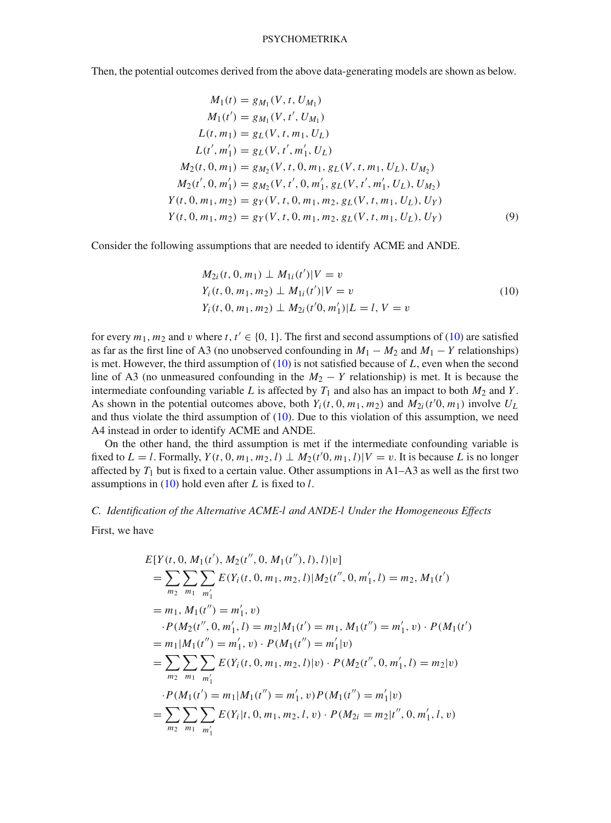Then, the potential outcomes derived from the above data-generating models are shown as below.

$$
M_1(t) = g_{M_1}(V, t, U_{M_1})
$$
  
\n
$$
M_1(t') = g_{M_1}(V, t', U_{M_1})
$$
  
\n
$$
L(t, m_1) = g_L(V, t, m_1, U_L)
$$
  
\n
$$
L(t', m'_1) = g_L(V, t', m'_1, U_L)
$$
  
\n
$$
M_2(t, 0, m_1) = g_{M_2}(V, t, 0, m_1, g_L(V, t, m_1, U_L), U_{M_2})
$$
  
\n
$$
M_2(t', 0, m'_1) = g_{M_2}(V, t', 0, m'_1, g_L(V, t', m'_1, U_L), U_{M_2})
$$
  
\n
$$
Y(t, 0, m_1, m_2) = g_Y(V, t, 0, m_1, m_2, g_L(V, t, m_1, U_L), U_Y)
$$
  
\n
$$
Y(t, 0, m_1, m_2) = g_Y(V, t, 0, m_1, m_2, g_L(V, t, m_1, U_L), U_Y)
$$
  
\n(9)

Consider the following assumptions that are needed to identify ACME and ANDE.

<span id="page-19-0"></span>
$$
M_{2i}(t, 0, m_1) \perp M_{1i}(t')|V = v
$$
  
\n
$$
Y_i(t, 0, m_1, m_2) \perp M_{1i}(t')|V = v
$$
  
\n
$$
Y_i(t, 0, m_1, m_2) \perp M_{2i}(t'0, m'_1)|L = l, V = v
$$
\n(10)

for every  $m_1$ ,  $m_2$  and v where  $t$ ,  $t' \in \{0, 1\}$ . The first and second assumptions of [\(10\)](#page-19-0) are satisfied as far as the first line of A3 (no unobserved confounding in  $M_1 - M_2$  and  $M_1 - Y$  relationships) is met. However, the third assumption of [\(10\)](#page-19-0) is not satisfied because of *L*, even when the second line of A3 (no unmeasured confounding in the  $M_2 - Y$  relationship) is met. It is because the intermediate confounding variable *L* is affected by  $T_1$  and also has an impact to both  $M_2$  and *Y*. As shown in the potential outcomes above, both  $Y_i(t, 0, m_1, m_2)$  and  $M_{2i}(t'0, m_1)$  involve  $U_L$ and thus violate the third assumption of [\(10\)](#page-19-0). Due to this violation of this assumption, we need A4 instead in order to identify ACME and ANDE.

On the other hand, the third assumption is met if the intermediate confounding variable is fixed to  $L = l$ . Formally,  $Y(t, 0, m_1, m_2, l) \perp M_2(t^{\prime}0, m_1, l) | V = v$ . It is because *L* is no longer affected by  $T_1$  but is fixed to a certain value. Other assumptions in  $A1-A3$  as well as the first two assumptions in [\(10\)](#page-19-0) hold even after *L* is fixed to *l*.

#### *C. Identification of the Alternative ACME-l and ANDE-l Under the Homogeneous Effects*

First, we have

$$
E[Y(t, 0, M_1(t'), M_2(t'', 0, M_1(t''), l), l)|v]
$$
  
= 
$$
\sum_{m_2} \sum_{m_1} \sum_{m'_1} E(Y_i(t, 0, m_1, m_2, l)|M_2(t'', 0, m'_1, l) = m_2, M_1(t')
$$
  
= 
$$
m_1, M_1(t'') = m'_1, v)
$$
  

$$
\cdot P(M_2(t'', 0, m'_1, l) = m_2|M_1(t') = m_1, M_1(t'') = m'_1, v) \cdot P(M_1(t')
$$
  
= 
$$
m_1|M_1(t'') = m'_1, v) \cdot P(M_1(t'') = m'_1|v)
$$
  
= 
$$
\sum_{m_2} \sum_{m_1} \sum_{m'_1} E(Y_i(t, 0, m_1, m_2, l)|v) \cdot P(M_2(t'', 0, m'_1, l) = m_2|v)
$$
  
= 
$$
\sum_{m_2} \sum_{m_1} \sum_{m'_1} E(Y_i|t, 0, m_1, m_2, l, v) \cdot P(M_2i = m_2|t'', 0, m'_1, l, v)
$$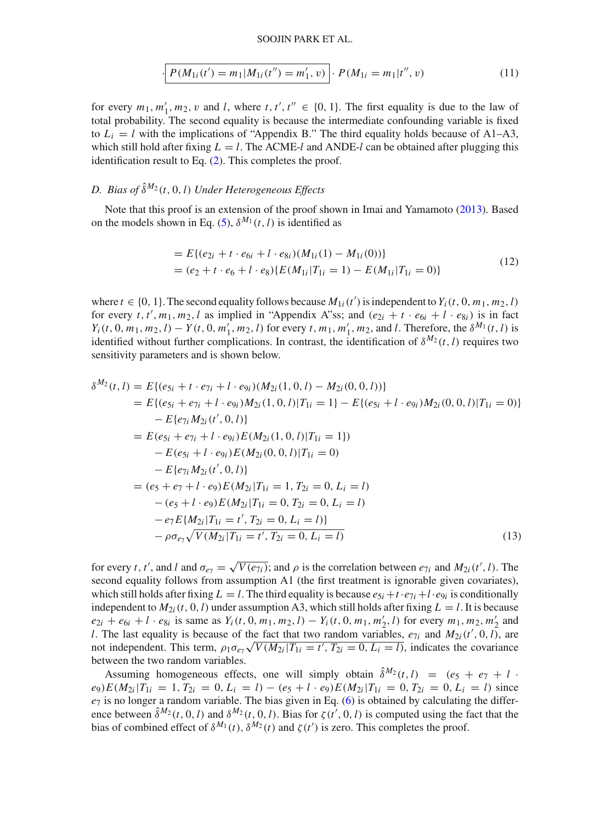#### SOOJIN PARK ET AL.

$$
\left[ P(M_{1i}(t') = m_1 | M_{1i}(t'') = m'_1, v) \right] \cdot P(M_{1i} = m_1 | t'', v)
$$
\n(11)

for every  $m_1, m'_1, m_2, v$  and *l*, where  $t, t', t'' \in \{0, 1\}$ . The first equality is due to the law of total probability. The second equality is because the intermediate confounding variable is fixed to  $L_i = l$  with the implications of "Appendix B." The third equality holds because of A1–A3, which still hold after fixing  $L = l$ . The ACME-*l* and ANDE-*l* can be obtained after plugging this identification result to Eq. [\(2\)](#page-6-1). This completes the proof.

# *D. Bias of*  $\hat{\delta}^{M_2}(t, 0, l)$  *Under Heterogeneous Effects*

Note that this proof is an extension of the proof shown in Imai and Yamamoto [\(2013\)](#page-21-3). Based on the models shown in Eq. [\(5\)](#page-9-1),  $\delta^{M_1}(t, l)$  is identified as

$$
= E\{(e_{2i} + t \cdot e_{6i} + l \cdot e_{8i})(M_{1i}(1) - M_{1i}(0))\}
$$
  
=  $(e_2 + t \cdot e_6 + l \cdot e_8) \{E(M_{1i}|T_{1i} = 1) - E(M_{1i}|T_{1i} = 0)\}$  (12)

where  $t \in \{0, 1\}$ . The second equality follows because  $M_{1i}(t')$  is independent to  $Y_i(t, 0, m_1, m_2, l)$ for every *t*, *t'*, *m*<sub>1</sub>, *m*<sub>2</sub>, *l* as implied in "Appendix A"ss; and  $(e_{2i} + t \cdot e_{6i} + l \cdot e_{8i})$  is in fact  $Y_i(t, 0, m_1, m_2, l) - Y(t, 0, m'_1, m_2, l)$  for every t,  $m_1, m'_1, m_2$ , and l. Therefore, the  $\delta^{M_1}(t, l)$  is identified without further complications. In contrast, the identification of  $\delta^{M_2}(t, l)$  requires two sensitivity parameters and is shown below.

$$
\delta^{M_2}(t, l) = E\{(e_{5i} + t \cdot e_{7i} + l \cdot e_{9i})(M_{2i}(1, 0, l) - M_{2i}(0, 0, l))\}
$$
  
\n
$$
= E\{(e_{5i} + e_{7i} + l \cdot e_{9i})M_{2i}(1, 0, l)|T_{1i} = 1\} - E\{(e_{5i} + l \cdot e_{9i})M_{2i}(0, 0, l)|T_{1i} = 0)\}
$$
  
\n
$$
- E\{e_{7i}M_{2i}(t', 0, l)\}
$$
  
\n
$$
= E(e_{5i} + e_{7i} + l \cdot e_{9i})E(M_{2i}(1, 0, l)|T_{1i} = 1\})
$$
  
\n
$$
- E(e_{5i} + l \cdot e_{9i})E(M_{2i}(0, 0, l)|T_{1i} = 0)
$$
  
\n
$$
- E\{e_{7i}M_{2i}(t', 0, l)\}
$$
  
\n
$$
= (e_{5} + e_{7} + l \cdot e_{9})E(M_{2i}|T_{1i} = 1, T_{2i} = 0, L_{i} = l)
$$
  
\n
$$
- (e_{5} + l \cdot e_{9})E(M_{2i}|T_{1i} = 0, T_{2i} = 0, L_{i} = l)
$$
  
\n
$$
- e_{7}E\{M_{2i}|T_{1i} = t', T_{2i} = 0, L_{i} = l\}
$$
  
\n
$$
- \rho \sigma_{e_{7}}\sqrt{V(M_{2i}|T_{1i} = t', T_{2i} = 0, L_{i} = l)}
$$
  
\n(13)

for every *t*, *t'*, and *l* and  $\sigma_{e_7} = \sqrt{V(e_{7i})}$ ; and  $\rho$  is the correlation between  $e_{7i}$  and  $M_{2i}(t', l)$ . The second equality follows from assumption A1 (the first treatment is ignorable given covariates), which still holds after fixing  $L = l$ . The third equality is because  $e_{5i} + t \cdot e_{7i} + l \cdot e_{9i}$  is conditionally independent to  $M_{2i}(t, 0, l)$  under assumption A3, which still holds after fixing  $L = l$ . It is because  $e_{2i} + e_{6i} + l \cdot e_{8i}$  is same as  $Y_i(t, 0, m_1, m_2, l) - Y_i(t, 0, m_1, m'_2, l)$  for every  $m_1, m_2, m'_2$  and *l*. The last equality is because of the fact that two random variables,  $e_{7i}$  and  $M_{2i}(t', 0, l)$ , are not independent. This term,  $\rho_1 \sigma_{e\gamma} \sqrt{V(M_{2i}|T_{1i} = t', T_{2i} = 0, L_i = l)}$ , indicates the covariance between the two random variables.

Assuming homogeneous effects, one will simply obtain  $\hat{\delta}^{M_2}(t, l) = (e_5 + e_7 + l \cdot l)$  $e_9$   $E(M_{2i}|T_{1i} = 1, T_{2i} = 0, L_i = l) - (e_5 + l \cdot e_9)E(M_{2i}|T_{1i} = 0, T_{2i} = 0, L_i = l)$  since  $e_7$  is no longer a random variable. The bias given in Eq. [\(6\)](#page-10-0) is obtained by calculating the difference between  $\hat{\delta}^{M_2}(t,0,l)$  and  $\delta^{M_2}(t,0,l)$ . Bias for  $\zeta(t',0,l)$  is computed using the fact that the bias of combined effect of  $\delta^{M_1}(t)$ ,  $\delta^{M_2}(t)$  and  $\zeta(t')$  is zero. This completes the proof.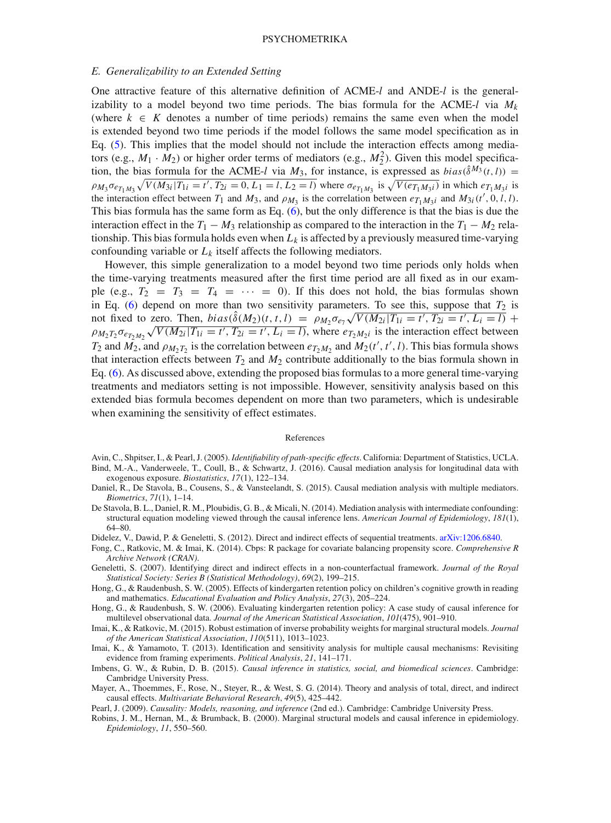#### PSYCHOMETRIKA

### *E. Generalizability to an Extended Setting*

One attractive feature of this alternative definition of ACME-*l* and ANDE-*l* is the generalizability to a model beyond two time periods. The bias formula for the ACME- $l$  via  $M_k$ (where  $k \in K$  denotes a number of time periods) remains the same even when the model is extended beyond two time periods if the model follows the same model specification as in Eq. [\(5\)](#page-9-1). This implies that the model should not include the interaction effects among mediators (e.g.,  $M_1 \cdot M_2$ ) or higher order terms of mediators (e.g.,  $M_2^2$ ). Given this model specification, the bias formula for the ACME-*l* via  $M_3$ , for instance, is expressed as *bias*( $\hat{\delta}^{M_3}(t, l)$ ) =  $\rho_{M_3} \sigma_{e_{T_1 M_3}} \sqrt{V(M_{3i}|T_{1i} = t', T_{2i} = 0, L_1 = l, L_2 = l)}$  where  $\sigma_{e_{T_1 M_3}}$  is  $\sqrt{V(e_{T_1 M_3 i})}$  in which  $e_{T_1 M_3 i}$  is the interaction effect between  $T_1$  and  $M_3$ , and  $\rho_{M_3}$  is the correlation between  $e_{T_1M_3i}$  and  $M_{3i}(t', 0, l, l)$ . This bias formula has the same form as Eq. [\(6\)](#page-10-0), but the only difference is that the bias is due the interaction effect in the  $T_1 - M_3$  relationship as compared to the interaction in the  $T_1 - M_2$  relationship. This bias formula holds even when  $L_k$  is affected by a previously measured time-varying confounding variable or  $L_k$  itself affects the following mediators.

However, this simple generalization to a model beyond two time periods only holds when the time-varying treatments measured after the first time period are all fixed as in our example (e.g.,  $T_2 = T_3 = T_4 = \cdots = 0$ ). If this does not hold, the bias formulas shown in Eq. [\(6\)](#page-10-0) depend on more than two sensitivity parameters. To see this, suppose that  $T_2$  is not fixed to zero. Then,  $bias(\hat{\delta}(M_2)(t, t, l)) = \rho_{M_2} \sigma_{e_7} \sqrt{V(M_{2i}|T_{1i} = t', T_{2i} = t', L_i = l)} +$  $\rho_{M_2T_2\sigma_{e_{T_2M_2}}\sqrt{V(M_{2i}|T_{1i}=t',T_{2i}=t',L_i=I)}$ , where  $e_{T_2M_2i}$  is the interaction effect between *T*<sub>2</sub> and *M*<sub>2</sub>, and  $\rho_{M_2T_2}$  is the correlation between  $e_{T_2M_2}$  and  $M_2(t', t', l)$ . This bias formula shows that interaction effects between  $T_2$  and  $M_2$  contribute additionally to the bias formula shown in Eq. [\(6\)](#page-10-0). As discussed above, extending the proposed bias formulas to a more general time-varying treatments and mediators setting is not impossible. However, sensitivity analysis based on this extended bias formula becomes dependent on more than two parameters, which is undesirable when examining the sensitivity of effect estimates.

#### References

- <span id="page-21-2"></span>Avin, C., Shpitser, I., & Pearl, J. (2005). *Identifiability of path-specific effects*. California: Department of Statistics, UCLA. Bind, M.-A., Vanderweele, T., Coull, B., & Schwartz, J. (2016). Causal mediation analysis for longitudinal data with
- <span id="page-21-8"></span><span id="page-21-5"></span>exogenous exposure. *Biostatistics*, *17*(1), 122–134. Daniel, R., De Stavola, B., Cousens, S., & Vansteelandt, S. (2015). Causal mediation analysis with multiple mediators. *Biometrics*, *71*(1), 1–14.
- <span id="page-21-4"></span>De Stavola, B. L., Daniel, R. M., Ploubidis, G. B., & Micali, N. (2014). Mediation analysis with intermediate confounding: structural equation modeling viewed through the causal inference lens. *American Journal of Epidemiology*, *181*(1), 64–80.
- <span id="page-21-13"></span>Didelez, V., Dawid, P. & Geneletti, S. (2012). Direct and indirect effects of sequential treatments. [arXiv:1206.6840.](http://arxiv.org/abs/1206.6840)
- <span id="page-21-10"></span>Fong, C., Ratkovic, M. & Imai, K. (2014). Cbps: R package for covariate balancing propensity score. *Comprehensive R Archive Network (CRAN)*.
- <span id="page-21-14"></span>Geneletti, S. (2007). Identifying direct and indirect effects in a non-counterfactual framework. *Journal of the Royal Statistical Society: Series B (Statistical Methodology)*, *69*(2), 199–215.
- <span id="page-21-0"></span>Hong, G., & Raudenbush, S. W. (2005). Effects of kindergarten retention policy on children's cognitive growth in reading and mathematics. *Educational Evaluation and Policy Analysis*, *27*(3), 205–224.
- <span id="page-21-1"></span>Hong, G., & Raudenbush, S. W. (2006). Evaluating kindergarten retention policy: A case study of causal inference for multilevel observational data. *Journal of the American Statistical Association*, *101*(475), 901–910.
- <span id="page-21-11"></span>Imai, K., & Ratkovic, M. (2015). Robust estimation of inverse probability weights for marginal structural models. *Journal of the American Statistical Association*, *110*(511), 1013–1023.
- <span id="page-21-3"></span>Imai, K., & Yamamoto, T. (2013). Identification and sensitivity analysis for multiple causal mechanisms: Revisiting evidence from framing experiments. *Political Analysis*, *21*, 141–171.
- <span id="page-21-9"></span>Imbens, G. W., & Rubin, D. B. (2015). *Causal inference in statistics, social, and biomedical sciences*. Cambridge: Cambridge University Press.
- <span id="page-21-6"></span>Mayer, A., Thoemmes, F., Rose, N., Steyer, R., & West, S. G. (2014). Theory and analysis of total, direct, and indirect causal effects. *Multivariate Behavioral Research*, *49*(5), 425–442.
- <span id="page-21-7"></span>Pearl, J. (2009). *Causality: Models, reasoning, and inference* (2nd ed.). Cambridge: Cambridge University Press.
- <span id="page-21-12"></span>Robins, J. M., Hernan, M., & Brumback, B. (2000). Marginal structural models and causal inference in epidemiology. *Epidemiology*, *11*, 550–560.